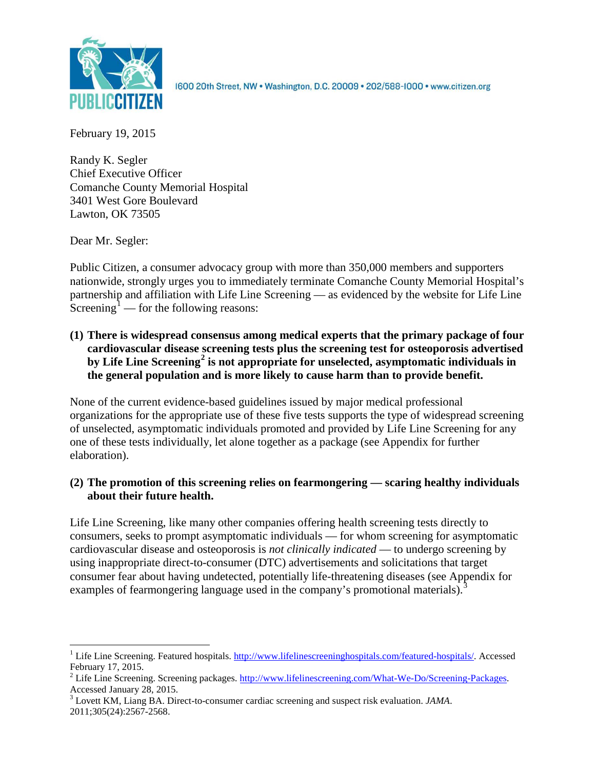

1600 20th Street, NW . Washington, D.C. 20009 . 202/588-1000 . www.citizen.org

February 19, 2015

Randy K. Segler Chief Executive Officer Comanche County Memorial Hospital 3401 West Gore Boulevard Lawton, OK 73505

Dear Mr. Segler:

Public Citizen, a consumer advocacy group with more than 350,000 members and supporters nationwide, strongly urges you to immediately terminate Comanche County Memorial Hospital's partnership and affiliation with Life Line Screening — as evidenced by the website for Life Line Screening<sup>[1](#page-0-0)</sup> — for the following reasons:

**(1) There is widespread consensus among medical experts that the primary package of four cardiovascular disease screening tests plus the screening test for osteoporosis advertised by Life Line Screening[2](#page-0-1) is not appropriate for unselected, asymptomatic individuals in the general population and is more likely to cause harm than to provide benefit.**

None of the current evidence-based guidelines issued by major medical professional organizations for the appropriate use of these five tests supports the type of widespread screening of unselected, asymptomatic individuals promoted and provided by Life Line Screening for any one of these tests individually, let alone together as a package (see Appendix for further elaboration).

# **(2) The promotion of this screening relies on fearmongering — scaring healthy individuals about their future health.**

Life Line Screening, like many other companies offering health screening tests directly to consumers, seeks to prompt asymptomatic individuals — for whom screening for asymptomatic cardiovascular disease and osteoporosis is *not clinically indicated* — to undergo screening by using inappropriate direct-to-consumer (DTC) advertisements and solicitations that target consumer fear about having undetected, potentially life-threatening diseases (see Appendix for examples of fearmongering language used in the company's promotional materials).<sup>[3](#page-0-2)</sup>

<span id="page-0-0"></span><sup>&</sup>lt;sup>1</sup> Life Line Screening. Featured hospitals. [http://www.lifelinescreeninghospitals.com/featured-hospitals/.](http://www.lifelinescreeninghospitals.com/featured-hospitals/) Accessed

<span id="page-0-1"></span>February 17, 2015.<br><sup>2</sup> Life Line Screening. Screening packages. [http://www.lifelinescreening.com/What-We-Do/Screening-Packages.](http://www.lifelinescreening.com/What-We-Do/Screening-Packages)<br>Accessed January 28, 2015.

<span id="page-0-2"></span><sup>&</sup>lt;sup>3</sup> Lovett KM, Liang BA. Direct-to-consumer cardiac screening and suspect risk evaluation. *JAMA*. 2011;305(24):2567-2568.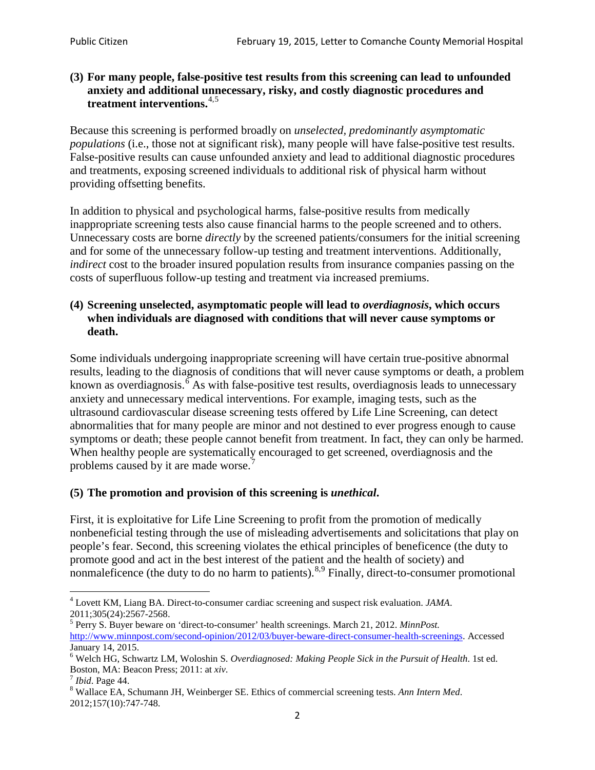## **(3) For many people, false-positive test results from this screening can lead to unfounded anxiety and additional unnecessary, risky, and costly diagnostic procedures and treatment interventions.**[4](#page-1-0),[5](#page-1-1)

Because this screening is performed broadly on *unselected, predominantly asymptomatic populations* (i.e., those not at significant risk), many people will have false**-**positive test results. False-positive results can cause unfounded anxiety and lead to additional diagnostic procedures and treatments, exposing screened individuals to additional risk of physical harm without providing offsetting benefits.

In addition to physical and psychological harms, false-positive results from medically inappropriate screening tests also cause financial harms to the people screened and to others. Unnecessary costs are borne *directly* by the screened patients/consumers for the initial screening and for some of the unnecessary follow-up testing and treatment interventions. Additionally, *indirect* cost to the broader insured population results from insurance companies passing on the costs of superfluous follow-up testing and treatment via increased premiums.

## **(4) Screening unselected, asymptomatic people will lead to** *overdiagnosis***, which occurs when individuals are diagnosed with conditions that will never cause symptoms or death.**

Some individuals undergoing inappropriate screening will have certain true-positive abnormal results, leading to the diagnosis of conditions that will never cause symptoms or death, a problem known as overdiagnosis.<sup>[6](#page-1-2)</sup> As with false-positive test results, overdiagnosis leads to unnecessary anxiety and unnecessary medical interventions. For example, imaging tests, such as the ultrasound cardiovascular disease screening tests offered by Life Line Screening, can detect abnormalities that for many people are minor and not destined to ever progress enough to cause symptoms or death; these people cannot benefit from treatment. In fact, they can only be harmed. When healthy people are systematically encouraged to get screened, overdiagnosis and the problems caused by it are made worse.<sup>[7](#page-1-3)</sup>

# **(5) The promotion and provision of this screening is** *unethical***.**

First, it is exploitative for Life Line Screening to profit from the promotion of medically nonbeneficial testing through the use of misleading advertisements and solicitations that play on people's fear. Second, this screening violates the ethical principles of beneficence (the duty to promote good and act in the best interest of the patient and the health of society) and nonmaleficence (the duty to do no harm to patients).<sup>[8](#page-1-4),[9](#page-1-5)</sup> Finally, direct-to-consumer promotional

<span id="page-1-5"></span><span id="page-1-0"></span><sup>4</sup> Lovett KM, Liang BA. Direct-to-consumer cardiac screening and suspect risk evaluation. *JAMA*.

<span id="page-1-1"></span><sup>2011;305(24):2567-2568.</sup> <sup>5</sup> Perry S. Buyer beware on 'direct-to-consumer' health screenings. March 21, 2012. *MinnPost.*  [http://www.minnpost.com/second-opinion/2012/03/buyer-beware-direct-consumer-health-screenings.](http://www.minnpost.com/second-opinion/2012/03/buyer-beware-direct-consumer-health-screenings) Accessed January 14, 2015.

<span id="page-1-2"></span><sup>6</sup> Welch HG, Schwartz LM, Woloshin S. *Overdiagnosed: Making People Sick in the Pursuit of Health*. 1st ed. Boston, MA: Beacon Press; 2011: at *xiv*.<br><sup>7</sup> *Ibid*. Page 44.<br><sup>8</sup> Wallace EA, Schumann JH, Weinberger SE. Ethics of commercial screening tests. *Ann Intern Med*.

<span id="page-1-3"></span>

<span id="page-1-4"></span><sup>2012;157(10):747-748.</sup>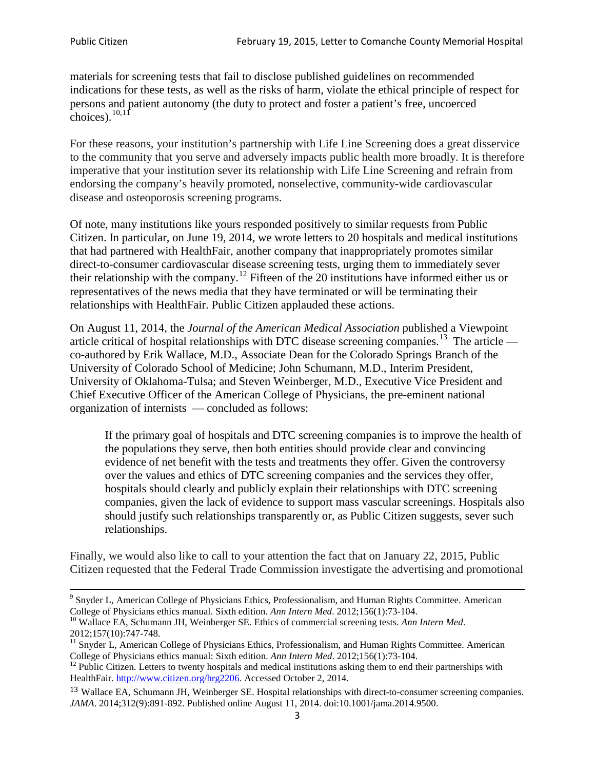materials for screening tests that fail to disclose published guidelines on recommended indications for these tests, as well as the risks of harm, violate the ethical principle of respect for persons and patient autonomy (the duty to protect and foster a patient's free, uncoerced choices). $10,11$  $10,11$ 

For these reasons, your institution's partnership with Life Line Screening does a great disservice to the community that you serve and adversely impacts public health more broadly. It is therefore imperative that your institution sever its relationship with Life Line Screening and refrain from endorsing the company's heavily promoted, nonselective, community**-**wide cardiovascular disease and osteoporosis screening programs.

Of note, many institutions like yours responded positively to similar requests from Public Citizen. In particular, on June 19, 2014, we wrote letters to 20 hospitals and medical institutions that had partnered with HealthFair, another company that inappropriately promotes similar direct-to-consumer cardiovascular disease screening tests, urging them to immediately sever their relationship with the company. [12](#page-2-2) Fifteen of the 20 institutions have informed either us or representatives of the news media that they have terminated or will be terminating their relationships with HealthFair. Public Citizen applauded these actions.

On August 11, 2014, the *Journal of the American Medical Association* published a Viewpoint article critical of hospital relationships with DTC disease screening companies.<sup>13</sup> The article co-authored by Erik Wallace, M.D., Associate Dean for the Colorado Springs Branch of the University of Colorado School of Medicine; John Schumann, M.D., Interim President, University of Oklahoma-Tulsa; and Steven Weinberger, M.D., Executive Vice President and Chief Executive Officer of the American College of Physicians, the pre**-**eminent national organization of internists — concluded as follows:

If the primary goal of hospitals and DTC screening companies is to improve the health of the populations they serve, then both entities should provide clear and convincing evidence of net benefit with the tests and treatments they offer. Given the controversy over the values and ethics of DTC screening companies and the services they offer, hospitals should clearly and publicly explain their relationships with DTC screening companies, given the lack of evidence to support mass vascular screenings. Hospitals also should justify such relationships transparently or, as Public Citizen suggests, sever such relationships.

Finally, we would also like to call to your attention the fact that on January 22, 2015, Public Citizen requested that the Federal Trade Commission investigate the advertising and promotional

<sup>&</sup>lt;sup>9</sup> Snyder L, American College of Physicians Ethics, Professionalism, and Human Rights Committee. American College of Physicians ethics manual. Sixth edition. Ann Intern Med. 2012;156(1):73-104.

<span id="page-2-0"></span><sup>&</sup>lt;sup>10</sup> Wallace EA, Schumann JH, Weinberger SE. Ethics of commercial screening tests. *Ann Intern Med*. 2012;157(10):747-748.

<span id="page-2-1"></span> $11$  Snyder L, American College of Physicians Ethics, Professionalism, and Human Rights Committee. American College of Physicians ethics manual: Sixth edition. *Ann Intern Med*. 2012;156(1):73-104.<br><sup>12</sup> Public Citizen. Letters to twenty hospitals and medical institutions asking them to end their partnerships with

<span id="page-2-2"></span>HealthFair. [http://www.citizen.org/hrg2206.](http://www.citizen.org/hrg2206) Accessed October 2, 2014.

<span id="page-2-3"></span><sup>13</sup> Wallace EA, Schumann JH, Weinberger SE. Hospital relationships with direct-to-consumer screening companies. *JAMA*. 2014;312(9):891-892. Published online August 11, 2014. doi:10.1001/jama.2014.9500.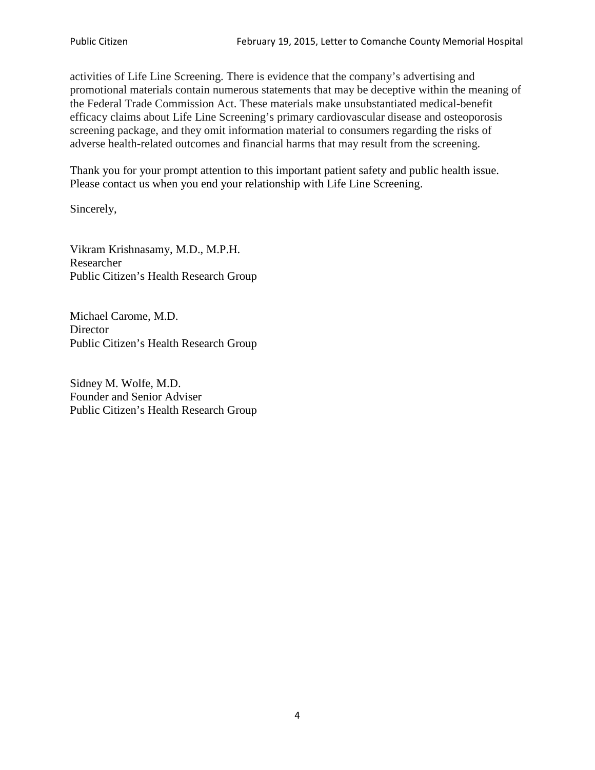activities of Life Line Screening. There is evidence that the company's advertising and promotional materials contain numerous statements that may be deceptive within the meaning of the Federal Trade Commission Act. These materials make unsubstantiated medical-benefit efficacy claims about Life Line Screening's primary cardiovascular disease and osteoporosis screening package, and they omit information material to consumers regarding the risks of adverse health-related outcomes and financial harms that may result from the screening.

Thank you for your prompt attention to this important patient safety and public health issue. Please contact us when you end your relationship with Life Line Screening.

Sincerely,

Vikram Krishnasamy, M.D., M.P.H. Researcher Public Citizen's Health Research Group

Michael Carome, M.D. **Director** Public Citizen's Health Research Group

Sidney M. Wolfe, M.D. Founder and Senior Adviser Public Citizen's Health Research Group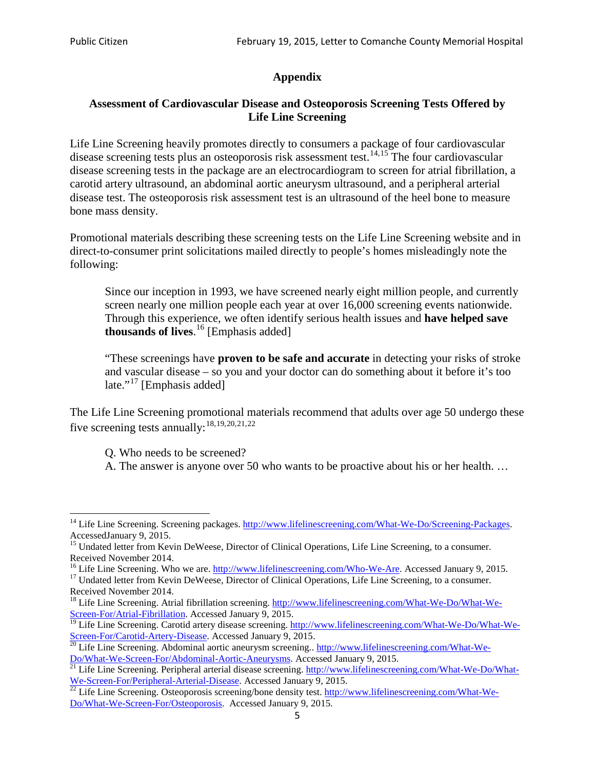# **Appendix**

## **Assessment of Cardiovascular Disease and Osteoporosis Screening Tests Offered by Life Line Screening**

Life Line Screening heavily promotes directly to consumers a package of four cardiovascular disease screening tests plus an osteoporosis risk assessment test.<sup>[14](#page-4-0),[15](#page-4-1)</sup> The four cardiovascular disease screening tests in the package are an electrocardiogram to screen for atrial fibrillation, a carotid artery ultrasound, an abdominal aortic aneurysm ultrasound, and a peripheral arterial disease test. The osteoporosis risk assessment test is an ultrasound of the heel bone to measure bone mass density.

Promotional materials describing these screening tests on the Life Line Screening website and in direct-to-consumer print solicitations mailed directly to people's homes misleadingly note the following:

Since our inception in 1993, we have screened nearly eight million people, and currently screen nearly one million people each year at over 16,000 screening events nationwide. Through this experience, we often identify serious health issues and **have helped save thousands of lives**. [16](#page-4-2) [Emphasis added]

"These screenings have **proven to be safe and accurate** in detecting your risks of stroke and vascular disease – so you and your doctor can do something about it before it's too late."<sup>[17](#page-4-3)</sup> [Emphasis added]

The Life Line Screening promotional materials recommend that adults over age 50 undergo these five screening tests annually:<sup>[18](#page-4-4),[19,](#page-4-5)[20,](#page-4-6)[21](#page-4-7),[22](#page-4-8)</sup>

Q. Who needs to be screened?

A. The answer is anyone over 50 who wants to be proactive about his or her health. …

Received November 2014.<br><sup>16</sup> Life Line Screening. Who we are. http://www.lifelinescreening.com/Who-We-Are. Accessed January 9, 2015.

<span id="page-4-3"></span><span id="page-4-2"></span><sup>17</sup> Undated letter from Kevin DeWeese, Director of Clinical Operations, Life Line Screening, to a consumer. Received November 2014.

<span id="page-4-0"></span><sup>&</sup>lt;sup>14</sup> Life Line Screening. Screening packages. [http://www.lifelinescreening.com/What-We-Do/Screening-Packages.](http://www.lifelinescreening.com/What-We-Do/Screening-Packages) AccessedJanuary 9, 2015.

<span id="page-4-1"></span><sup>&</sup>lt;sup>15</sup> Undated letter from Kevin DeWeese, Director of Clinical Operations, Life Line Screening, to a consumer.

<span id="page-4-4"></span><sup>&</sup>lt;sup>18</sup> Life Line Screening. Atrial fibrillation screening. [http://www.lifelinescreening.com/What-We-Do/What-We-](http://www.lifelinescreening.com/What-We-Do/What-We-Screen-For/Atrial-Fibrillation)[Screen-For/Atrial-Fibrillation.](http://www.lifelinescreening.com/What-We-Do/What-We-Screen-For/Atrial-Fibrillation) Accessed January 9, 2015.

<sup>&</sup>lt;sup>19</sup> Life Line Screening. Carotid artery disease screening. [http://www.lifelinescreening.com/What-We-Do/What-We-](http://www.lifelinescreening.com/What-We-Do/What-We-Screen-For/Carotid-Artery-Disease)

<span id="page-4-6"></span><span id="page-4-5"></span>[Screen-For/Carotid-Artery-Disease.](http://www.lifelinescreening.com/What-We-Do/What-We-Screen-For/Carotid-Artery-Disease) Accessed January 9, 2015.<br><sup>20</sup> Life Line Screening. Abdominal aortic aneurysm screening.. http://www.lifelinescreening.com/What-We-Do/What-We-Do/What-We-Screen-For/Abdominal-Aortic-Aneury

<span id="page-4-7"></span><sup>&</sup>lt;sup>21</sup> Life Line Screening. Peripheral arterial disease screening. [http://www.lifelinescreening.com/What-We-Do/What-](http://www.lifelinescreening.com/What-We-Do/What-We-Screen-For/Peripheral-Arterial-Disease)

<span id="page-4-8"></span>[We-Screen-For/Peripheral-Arterial-Disease.](http://www.lifelinescreening.com/What-We-Do/What-We-Screen-For/Peripheral-Arterial-Disease) Accessed January 9, 2015.<br><sup>22</sup> Life Line Screening. Osteoporosis screening/bone density test. [http://www.lifelinescreening.com/What-We-](http://www.lifelinescreening.com/What-We-Do/What-We-Screen-For/Osteoporosis)[Do/What-We-Screen-For/Osteoporosis.](http://www.lifelinescreening.com/What-We-Do/What-We-Screen-For/Osteoporosis) Accessed January 9, 2015.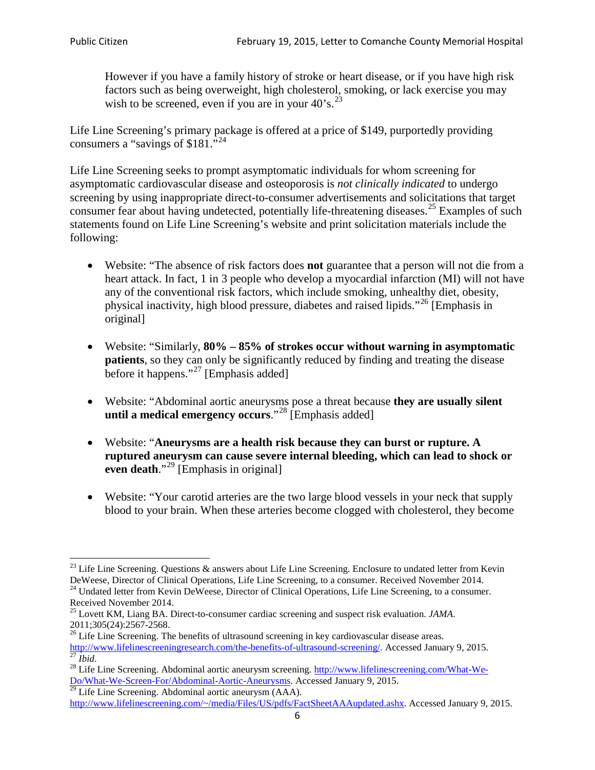However if you have a family history of stroke or heart disease, or if you have high risk factors such as being overweight, high cholesterol, smoking, or lack exercise you may wish to be screened, even if you are in your  $40^\circ$ s.<sup>[23](#page-5-0)</sup>

Life Line Screening's primary package is offered at a price of \$149, purportedly providing consumers a "savings of \$181."[24](#page-5-1)

Life Line Screening seeks to prompt asymptomatic individuals for whom screening for asymptomatic cardiovascular disease and osteoporosis is *not clinically indicated* to undergo screening by using inappropriate direct-to-consumer advertisements and solicitations that target consumer fear about having undetected, potentially life-threatening diseases.<sup>[25](#page-5-2)</sup> Examples of such statements found on Life Line Screening's website and print solicitation materials include the following:

- Website: "The absence of risk factors does **not** guarantee that a person will not die from a heart attack. In fact, 1 in 3 people who develop a myocardial infarction (MI) will not have any of the conventional risk factors, which include smoking, unhealthy diet, obesity, physical inactivity, high blood pressure, diabetes and raised lipids."[26](#page-5-3) [Emphasis in original]
- Website: "Similarly, **80% – 85% of strokes occur without warning in asymptomatic patients**, so they can only be significantly reduced by finding and treating the disease before it happens."<sup>[27](#page-5-4)</sup> [Emphasis added]
- Website: "Abdominal aortic aneurysms pose a threat because **they are usually silent until a medical emergency occurs**."[28](#page-5-5) [Emphasis added]
- Website: "**Aneurysms are a health risk because they can burst or rupture. A ruptured aneurysm can cause severe internal bleeding, which can lead to shock or even death.**"<sup>[29](#page-5-6)</sup> [Emphasis in original]
- Website: "Your carotid arteries are the two large blood vessels in your neck that supply blood to your brain. When these arteries become clogged with cholesterol, they become

<span id="page-5-0"></span><sup>&</sup>lt;sup>23</sup> Life Line Screening. Questions  $\&$  answers about Life Line Screening. Enclosure to undated letter from Kevin DeWeese, Director of Clinical Operations, Life Line Screening, to a consumer. Received November 2014. 24 Undated letter from Kevin DeWeese, Director of Clinical Operations, Life Line Screening, to a consumer.

<span id="page-5-1"></span>Received November 2014.

<span id="page-5-2"></span><sup>25</sup> Lovett KM, Liang BA. Direct-to-consumer cardiac screening and suspect risk evaluation. *JAMA*.  $2011;305(24):2567-2568$ .<br><sup>26</sup> Life Line Screening. The benefits of ultrasound screening in key cardiovascular disease areas.

<span id="page-5-3"></span>[http://www.lifelinescreeningresearch.com/the-benefits-of-ultrasound-screening/.](http://www.lifelinescreeningresearch.com/the-benefits-of-ultrasound-screening/) Accessed January 9, 2015.<br><sup>28</sup> Life Line Screening. Abdominal aortic aneurysm screening. http://www.lifelinescreening.com/What-We-<br><sup>28</sup> Life L

<span id="page-5-5"></span><span id="page-5-4"></span>[Do/What-We-Screen-For/Abdominal-Aortic-Aneurysms.](http://www.lifelinescreening.com/What-We-Do/What-We-Screen-For/Abdominal-Aortic-Aneurysms) Accessed January 9, 2015. <sup>29</sup> Life Line Screening. Abdominal aortic aneurysm (AAA).

<span id="page-5-6"></span>[http://www.lifelinescreening.com/~/media/Files/US/pdfs/FactSheetAAAupdated.ashx.](http://www.lifelinescreening.com/~/media/Files/US/pdfs/FactSheetAAAupdated.ashx) Accessed January 9, 2015.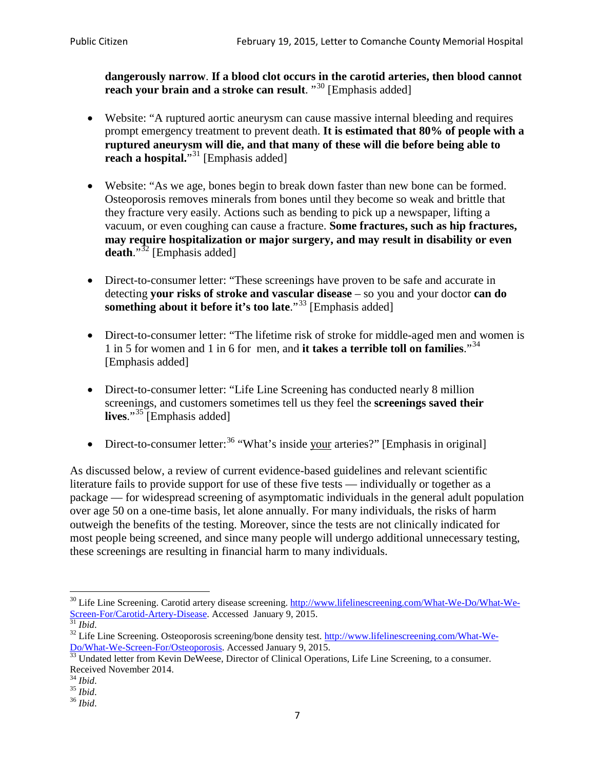**dangerously narrow**. **If a blood clot occurs in the carotid arteries, then blood cannot reach your brain and a stroke can result**. "<sup>[30](#page-6-0)</sup> [Emphasis added]

- Website: "A ruptured aortic aneurysm can cause massive internal bleeding and requires prompt emergency treatment to prevent death. **It is estimated that 80% of people with a ruptured aneurysm will die, and that many of these will die before being able to reach a hospital.**"<sup>[31](#page-6-1)</sup> [Emphasis added]
- Website: "As we age, bones begin to break down faster than new bone can be formed. Osteoporosis removes minerals from bones until they become so weak and brittle that they fracture very easily. Actions such as bending to pick up a newspaper, lifting a vacuum, or even coughing can cause a fracture. **Some fractures, such as hip fractures, may require hospitalization or major surgery, and may result in disability or even**  death."<sup>[32](#page-6-2)</sup> [Emphasis added]
- Direct-to-consumer letter: "These screenings have proven to be safe and accurate in detecting **your risks of stroke and vascular disease** – so you and your doctor **can do something about it before it's too late.**"<sup>[33](#page-6-3)</sup> [Emphasis added]
- Direct-to-consumer letter: "The lifetime risk of stroke for middle-aged men and women is 1 in 5 for women and 1 in 6 for men, and **it takes a terrible toll on families**."[34](#page-6-4) [Emphasis added]
- Direct-to-consumer letter: "Life Line Screening has conducted nearly 8 million screenings, and customers sometimes tell us they feel the **screenings saved their lives**."[35](#page-6-5) [Emphasis added]
- Direct-to-consumer letter:  $36$  "What's inside your arteries?" [Emphasis in original]

As discussed below, a review of current evidence-based guidelines and relevant scientific literature fails to provide support for use of these five tests — individually or together as a package — for widespread screening of asymptomatic individuals in the general adult population over age 50 on a one-time basis, let alone annually. For many individuals, the risks of harm outweigh the benefits of the testing. Moreover, since the tests are not clinically indicated for most people being screened, and since many people will undergo additional unnecessary testing, these screenings are resulting in financial harm to many individuals.

<span id="page-6-0"></span><sup>&</sup>lt;sup>30</sup> Life Line Screening. Carotid artery disease screening. [http://www.lifelinescreening.com/What-We-Do/What-We-](http://www.lifelinescreening.com/What-We-Do/What-We-Screen-For/Carotid-Artery-Disease)[Screen-For/Carotid-Artery-Disease.](http://www.lifelinescreening.com/What-We-Do/What-We-Screen-For/Carotid-Artery-Disease) Accessed January 9, 2015.<br><sup>31</sup> *Ibid.* 32 Life Line Screening. Osteoporosis screening/bone density test. [http://www.lifelinescreening.com/What-We-](http://www.lifelinescreening.com/What-We-Do/What-We-Screen-For/Osteoporosis)

<span id="page-6-2"></span><span id="page-6-1"></span>[Do/What-We-Screen-For/Osteoporosis.](http://www.lifelinescreening.com/What-We-Do/What-We-Screen-For/Osteoporosis) Accessed January 9, 2015. <sup>33</sup> Undated letter from Kevin DeWeese, Director of Clinical Operations, Life Line Screening, to a consumer.

<span id="page-6-3"></span>Received November 2014.<br><sup>34</sup> Ibid.

<span id="page-6-4"></span>

<span id="page-6-5"></span><sup>34</sup> *Ibid*. 35 *Ibid*. 36 *Ibid*.

<span id="page-6-6"></span>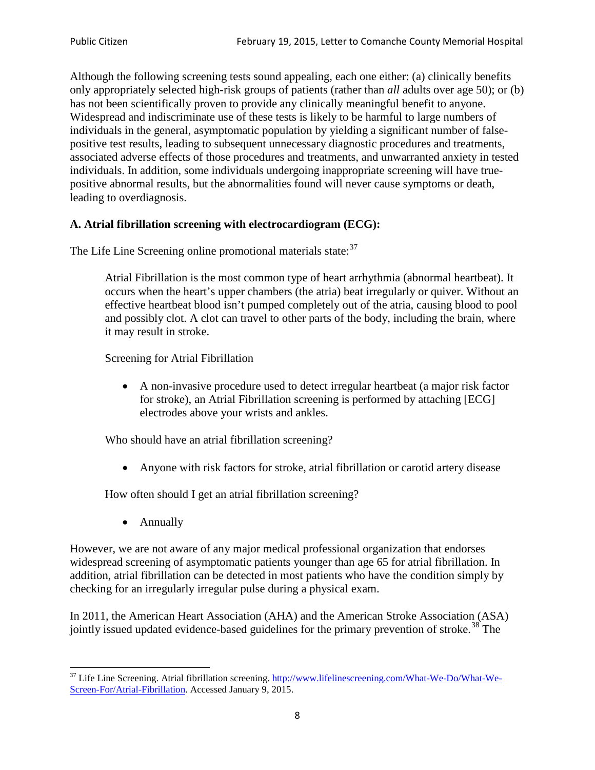Although the following screening tests sound appealing, each one either: (a) clinically benefits only appropriately selected high-risk groups of patients (rather than *all* adults over age 50); or (b) has not been scientifically proven to provide any clinically meaningful benefit to anyone. Widespread and indiscriminate use of these tests is likely to be harmful to large numbers of individuals in the general, asymptomatic population by yielding a significant number of falsepositive test results, leading to subsequent unnecessary diagnostic procedures and treatments, associated adverse effects of those procedures and treatments, and unwarranted anxiety in tested individuals. In addition, some individuals undergoing inappropriate screening will have truepositive abnormal results, but the abnormalities found will never cause symptoms or death, leading to overdiagnosis.

# **A. Atrial fibrillation screening with electrocardiogram (ECG):**

The Life Line Screening online promotional materials state:<sup>[37](#page-7-0)</sup>

Atrial Fibrillation is the most common type of heart arrhythmia (abnormal heartbeat). It occurs when the heart's upper chambers (the atria) beat irregularly or quiver. Without an effective heartbeat blood isn't pumped completely out of the atria, causing blood to pool and possibly clot. A clot can travel to other parts of the body, including the brain, where it may result in stroke.

Screening for Atrial Fibrillation

• A non-invasive procedure used to detect irregular heartbeat (a major risk factor for stroke), an Atrial Fibrillation screening is performed by attaching [ECG] electrodes above your wrists and ankles.

Who should have an atrial fibrillation screening?

• Anyone with risk factors for stroke, atrial fibrillation or carotid artery disease

How often should I get an atrial fibrillation screening?

• Annually

<span id="page-7-1"></span>However, we are not aware of any major medical professional organization that endorses widespread screening of asymptomatic patients younger than age 65 for atrial fibrillation. In addition, atrial fibrillation can be detected in most patients who have the condition simply by checking for an irregularly irregular pulse during a physical exam.

In 2011, the American Heart Association (AHA) and the American Stroke Association (ASA) jointly issued updated evidence-based guidelines for the primary prevention of stroke.<sup>[38](#page-7-1)</sup> The

<span id="page-7-0"></span><sup>&</sup>lt;sup>37</sup> Life Line Screening. Atrial fibrillation screening. [http://www.lifelinescreening.com/What-We-Do/What-We-](http://www.lifelinescreening.com/What-We-Do/What-We-Screen-For/Atrial-Fibrillation)[Screen-For/Atrial-Fibrillation.](http://www.lifelinescreening.com/What-We-Do/What-We-Screen-For/Atrial-Fibrillation) Accessed January 9, 2015.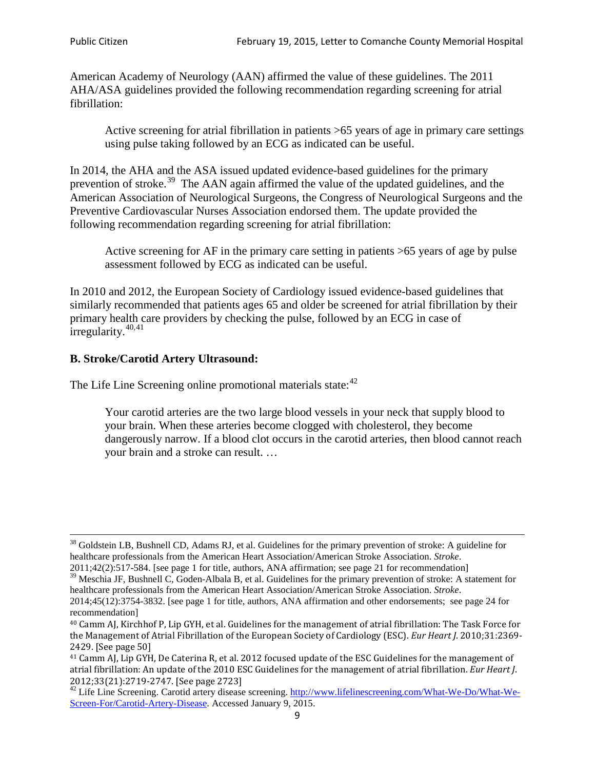American Academy of Neurology (AAN) affirmed the value of these guidelines. The 2011 AHA/ASA guidelines provided the following recommendation regarding screening for atrial fibrillation:

Active screening for atrial fibrillation in patients >65 years of age in primary care settings using pulse taking followed by an ECG as indicated can be useful.

In 2014, the AHA and the ASA issued updated evidence-based guidelines for the primary prevention of stroke.<sup>[39](#page-8-0)</sup> The AAN again affirmed the value of the updated guidelines, and the American Association of Neurological Surgeons, the Congress of Neurological Surgeons and the Preventive Cardiovascular Nurses Association endorsed them. The update provided the following recommendation regarding screening for atrial fibrillation:

Active screening for AF in the primary care setting in patients >65 years of age by pulse assessment followed by ECG as indicated can be useful.

In 2010 and 2012, the European Society of Cardiology issued evidence-based guidelines that similarly recommended that patients ages 65 and older be screened for atrial fibrillation by their primary health care providers by checking the pulse, followed by an ECG in case of irregularity. $40,41$  $40,41$ 

# **B. Stroke/Carotid Artery Ultrasound:**

The Life Line Screening online promotional materials state:<sup>[42](#page-8-3)</sup>

Your carotid arteries are the two large blood vessels in your neck that supply blood to your brain. When these arteries become clogged with cholesterol, they become dangerously narrow. If a blood clot occurs in the carotid arteries, then blood cannot reach your brain and a stroke can result. …

<sup>&</sup>lt;sup>38</sup> Goldstein LB, Bushnell CD, Adams RJ, et al. Guidelines for the primary prevention of stroke: A guideline for healthcare professionals from the American Heart Association/American Stroke Association. *Stroke*.

<sup>2011;42(2):517-584.</sup> [see page 1 for title, authors, ANA affirmation; see page 21 for recommendation]

<span id="page-8-0"></span> $\frac{2011,42(2)(317,601)}{39}$  Meschia JF, Bushnell C, Goden-Albala B, et al. Guidelines for the primary prevention of stroke: A statement for healthcare professionals from the American Heart Association/American Stroke Association. *Stroke*.

<sup>2014;45(12):3754-3832.</sup> [see page 1 for title, authors, ANA affirmation and other endorsements; see page 24 for recommendation]

<span id="page-8-1"></span><sup>40</sup> Camm AJ, Kirchhof P, Lip GYH, et al. Guidelines for the management of atrial fibrillation: The Task Force for the Management of Atrial Fibrillation of the European Society of Cardiology (ESC). *Eur Heart J*. 2010;31:2369- 2429. [See page 50]

<span id="page-8-2"></span><sup>41</sup> Camm AJ, Lip GYH, De Caterina R, et al. 2012 focused update of the ESC Guidelines for the management of atrial fibrillation: An update of the 2010 ESC Guidelines for the management of atrial fibrillation. *Eur Heart J*.

<span id="page-8-3"></span><sup>&</sup>lt;sup>2012</sup>;23(21):2719-2747. [See page 2733] 42 Life Line Screening. [http://www.lifelinescreening.com/What-We-Do/What-We-](http://www.lifelinescreening.com/What-We-Do/What-We-Screen-For/Carotid-Artery-Disease)[Screen-For/Carotid-Artery-Disease.](http://www.lifelinescreening.com/What-We-Do/What-We-Screen-For/Carotid-Artery-Disease) Accessed January 9, 2015.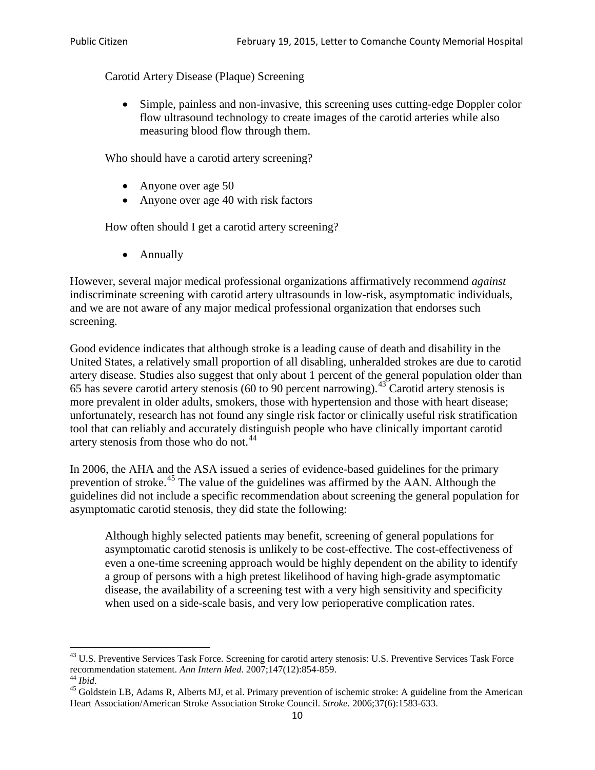Carotid Artery Disease (Plaque) Screening

• Simple, painless and non-invasive, this screening uses cutting-edge Doppler color flow ultrasound technology to create images of the carotid arteries while also measuring blood flow through them.

Who should have a carotid artery screening?

- Anyone over age 50
- Anyone over age 40 with risk factors

How often should I get a carotid artery screening?

• Annually

However, several major medical professional organizations affirmatively recommend *against* indiscriminate screening with carotid artery ultrasounds in low-risk, asymptomatic individuals, and we are not aware of any major medical professional organization that endorses such screening.

Good evidence indicates that although stroke is a leading cause of death and disability in the United States, a relatively small proportion of all disabling, unheralded strokes are due to carotid artery disease. Studies also suggest that only about 1 percent of the general population older than 65 has severe carotid artery stenosis (60 to 90 percent narrowing).<sup>[43](#page-9-0)</sup> Carotid artery stenosis is more prevalent in older adults, smokers, those with hypertension and those with heart disease; unfortunately, research has not found any single risk factor or clinically useful risk stratification tool that can reliably and accurately distinguish people who have clinically important carotid artery stenosis from those who do not.<sup>[44](#page-9-1)</sup>

In 2006, the AHA and the ASA issued a series of evidence-based guidelines for the primary prevention of stroke.<sup>[45](#page-9-2)</sup> The value of the guidelines was affirmed by the AAN. Although the guidelines did not include a specific recommendation about screening the general population for asymptomatic carotid stenosis, they did state the following:

Although highly selected patients may benefit, screening of general populations for asymptomatic carotid stenosis is unlikely to be cost-effective. The cost-effectiveness of even a one-time screening approach would be highly dependent on the ability to identify a group of persons with a high pretest likelihood of having high-grade asymptomatic disease, the availability of a screening test with a very high sensitivity and specificity when used on a side-scale basis, and very low perioperative complication rates.

<span id="page-9-0"></span> $^{43}$  U.S. Preventive Services Task Force. Screening for carotid artery stenosis: U.S. Preventive Services Task Force recommendation statement. Ann Intern Med. 2007;147(12):854-859.

<span id="page-9-2"></span><span id="page-9-1"></span><sup>&</sup>lt;sup>44</sup> *Ibid*. <sup>45</sup> Goldstein LB, Adams R, Alberts MJ, et al. Primary prevention of ischemic stroke: A guideline from the American <sup>45</sup> Goldstein LB, Adams R, Alberts MJ, et al. Primary prevention of ischemic stroke: A guide Heart Association/American Stroke Association Stroke Council. *Stroke*. 2006;37(6):1583-633.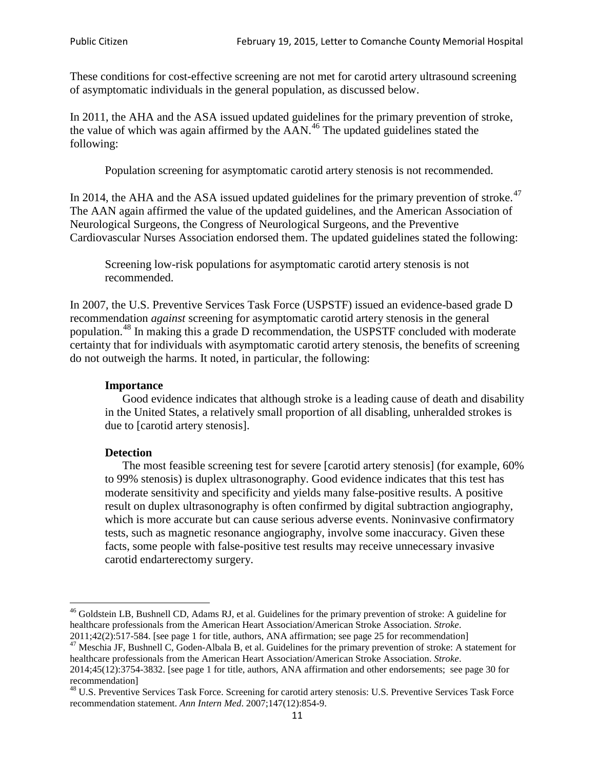These conditions for cost-effective screening are not met for carotid artery ultrasound screening of asymptomatic individuals in the general population, as discussed below.

In 2011, the AHA and the ASA issued updated guidelines for the primary prevention of stroke, the value of which was again affirmed by the  $AAN<sup>46</sup>$  $AAN<sup>46</sup>$  $AAN<sup>46</sup>$ . The updated guidelines stated the following:

Population screening for asymptomatic carotid artery stenosis is not recommended.

In 2014, the AHA and the ASA issued updated guidelines for the primary prevention of stroke. $47$ The AAN again affirmed the value of the updated guidelines, and the American Association of Neurological Surgeons, the Congress of Neurological Surgeons, and the Preventive Cardiovascular Nurses Association endorsed them. The updated guidelines stated the following:

Screening low-risk populations for asymptomatic carotid artery stenosis is not recommended.

In 2007, the U.S. Preventive Services Task Force (USPSTF) issued an evidence-based grade D recommendation *against* screening for asymptomatic carotid artery stenosis in the general population.[48](#page-10-2) In making this a grade D recommendation, the USPSTF concluded with moderate certainty that for individuals with asymptomatic carotid artery stenosis, the benefits of screening do not outweigh the harms. It noted, in particular, the following:

#### **Importance**

Good evidence indicates that although stroke is a leading cause of death and disability in the United States, a relatively small proportion of all disabling, unheralded strokes is due to [carotid artery stenosis].

#### **Detection**

The most feasible screening test for severe [carotid artery stenosis] (for example, 60% to 99% stenosis) is duplex ultrasonography. Good evidence indicates that this test has moderate sensitivity and specificity and yields many false-positive results. A positive result on duplex ultrasonography is often confirmed by digital subtraction angiography, which is more accurate but can cause serious adverse events. Noninvasive confirmatory tests, such as magnetic resonance angiography, involve some inaccuracy. Given these facts, some people with false-positive test results may receive unnecessary invasive carotid endarterectomy surgery.

<span id="page-10-0"></span><sup>&</sup>lt;sup>46</sup> Goldstein LB, Bushnell CD, Adams RJ, et al. Guidelines for the primary prevention of stroke: A guideline for healthcare professionals from the American Heart Association/American Stroke Association. *Stroke*.<br>2011;42(2):517-584. [see page 1 for title, authors, ANA affirmation; see page 25 for recommendation]

<span id="page-10-1"></span><sup>&</sup>lt;sup>47</sup> Meschia JF, Bushnell C, Goden-Albala B, et al. Guidelines for the primary prevention of stroke: A statement for healthcare professionals from the American Heart Association/American Stroke Association. *Stroke*. 2014;45(12):3754-3832. [see page 1 for title, authors, ANA affirmation and other endorsements; see page 30 for

recommendation] <sup>48</sup> U.S. Preventive Services Task Force. Screening for carotid artery stenosis: U.S. Preventive Services Task Force

<span id="page-10-2"></span>recommendation statement. *Ann Intern Med*. 2007;147(12):854-9.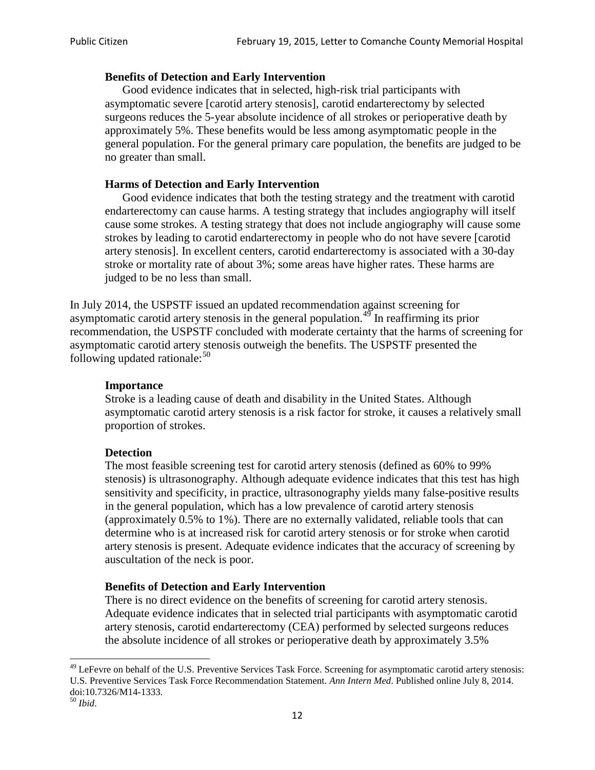## **Benefits of Detection and Early Intervention**

Good evidence indicates that in selected, high-risk trial participants with asymptomatic severe [carotid artery stenosis], carotid endarterectomy by selected surgeons reduces the 5-year absolute incidence of all strokes or perioperative death by approximately 5%. These benefits would be less among asymptomatic people in the general population. For the general primary care population, the benefits are judged to be no greater than small.

## **Harms of Detection and Early Intervention**

Good evidence indicates that both the testing strategy and the treatment with carotid endarterectomy can cause harms. A testing strategy that includes angiography will itself cause some strokes. A testing strategy that does not include angiography will cause some strokes by leading to carotid endarterectomy in people who do not have severe [carotid artery stenosis]. In excellent centers, carotid endarterectomy is associated with a 30-day stroke or mortality rate of about 3%; some areas have higher rates. These harms are judged to be no less than small.

In July 2014, the USPSTF issued an updated recommendation against screening for asymptomatic carotid artery stenosis in the general population.<sup>[49](#page-11-0)</sup> In reaffirming its prior recommendation, the USPSTF concluded with moderate certainty that the harms of screening for asymptomatic carotid artery stenosis outweigh the benefits. The USPSTF presented the following updated rationale: $50$ 

### **Importance**

Stroke is a leading cause of death and disability in the United States. Although asymptomatic carotid artery stenosis is a risk factor for stroke, it causes a relatively small proportion of strokes.

### **Detection**

The most feasible screening test for carotid artery stenosis (defined as 60% to 99% stenosis) is ultrasonography. Although adequate evidence indicates that this test has high sensitivity and specificity, in practice, ultrasonography yields many false-positive results in the general population, which has a low prevalence of carotid artery stenosis (approximately 0.5% to 1%). There are no externally validated, reliable tools that can determine who is at increased risk for carotid artery stenosis or for stroke when carotid artery stenosis is present. Adequate evidence indicates that the accuracy of screening by auscultation of the neck is poor.

# **Benefits of Detection and Early Intervention**

There is no direct evidence on the benefits of screening for carotid artery stenosis. Adequate evidence indicates that in selected trial participants with asymptomatic carotid artery stenosis, carotid endarterectomy (CEA) performed by selected surgeons reduces the absolute incidence of all strokes or perioperative death by approximately 3.5%

<span id="page-11-0"></span><sup>&</sup>lt;sup>49</sup> LeFevre on behalf of the U.S. Preventive Services Task Force. Screening for asymptomatic carotid artery stenosis: U.S. Preventive Services Task Force Recommendation Statement. *Ann Intern Med*. Published online July 8, 2014. doi:10.7326/M14-1333. <sup>50</sup> *Ibid*.

<span id="page-11-1"></span>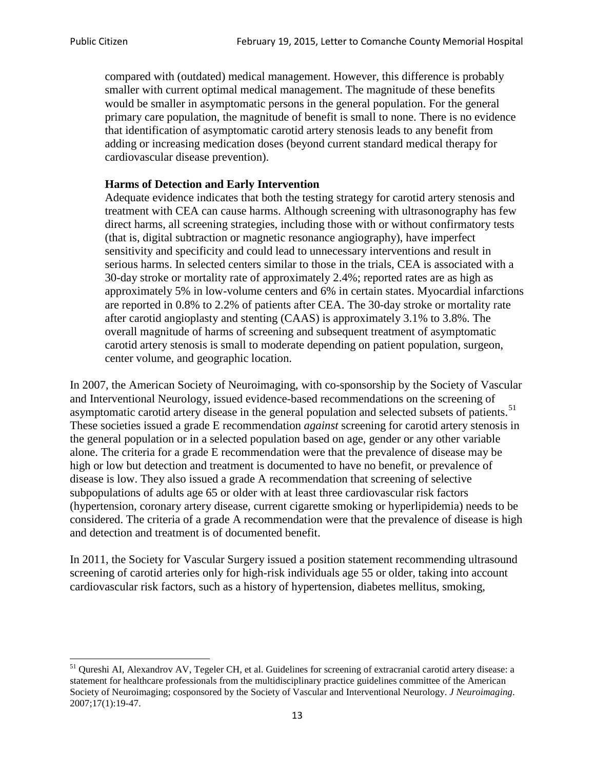compared with (outdated) medical management. However, this difference is probably smaller with current optimal medical management. The magnitude of these benefits would be smaller in asymptomatic persons in the general population. For the general primary care population, the magnitude of benefit is small to none. There is no evidence that identification of asymptomatic carotid artery stenosis leads to any benefit from adding or increasing medication doses (beyond current standard medical therapy for cardiovascular disease prevention).

# **Harms of Detection and Early Intervention**

Adequate evidence indicates that both the testing strategy for carotid artery stenosis and treatment with CEA can cause harms. Although screening with ultrasonography has few direct harms, all screening strategies, including those with or without confirmatory tests (that is, digital subtraction or magnetic resonance angiography), have imperfect sensitivity and specificity and could lead to unnecessary interventions and result in serious harms. In selected centers similar to those in the trials, CEA is associated with a 30-day stroke or mortality rate of approximately 2.4%; reported rates are as high as approximately 5% in low-volume centers and 6% in certain states. Myocardial infarctions are reported in 0.8% to 2.2% of patients after CEA. The 30-day stroke or mortality rate after carotid angioplasty and stenting (CAAS) is approximately 3.1% to 3.8%. The overall magnitude of harms of screening and subsequent treatment of asymptomatic carotid artery stenosis is small to moderate depending on patient population, surgeon, center volume, and geographic location.

In 2007, the American Society of Neuroimaging, with co-sponsorship by the Society of Vascular and Interventional Neurology, issued evidence-based recommendations on the screening of asymptomatic carotid artery disease in the general population and selected subsets of patients.<sup>[51](#page-12-0)</sup> These societies issued a grade E recommendation *against* screening for carotid artery stenosis in the general population or in a selected population based on age, gender or any other variable alone. The criteria for a grade E recommendation were that the prevalence of disease may be high or low but detection and treatment is documented to have no benefit, or prevalence of disease is low. They also issued a grade A recommendation that screening of selective subpopulations of adults age 65 or older with at least three cardiovascular risk factors (hypertension, coronary artery disease, current cigarette smoking or hyperlipidemia) needs to be considered. The criteria of a grade A recommendation were that the prevalence of disease is high and detection and treatment is of documented benefit.

In 2011, the Society for Vascular Surgery issued a position statement recommending ultrasound screening of carotid arteries only for high-risk individuals age 55 or older, taking into account cardiovascular risk factors, such as a history of hypertension, diabetes mellitus, smoking,

<span id="page-12-0"></span><sup>&</sup>lt;sup>51</sup> Qureshi AI, Alexandrov AV, Tegeler CH, et al. Guidelines for screening of extracranial carotid artery disease: a statement for healthcare professionals from the multidisciplinary practice guidelines committee of the American Society of Neuroimaging; cosponsored by the Society of Vascular and Interventional Neurology. *J Neuroimaging*. 2007;17(1):19-47.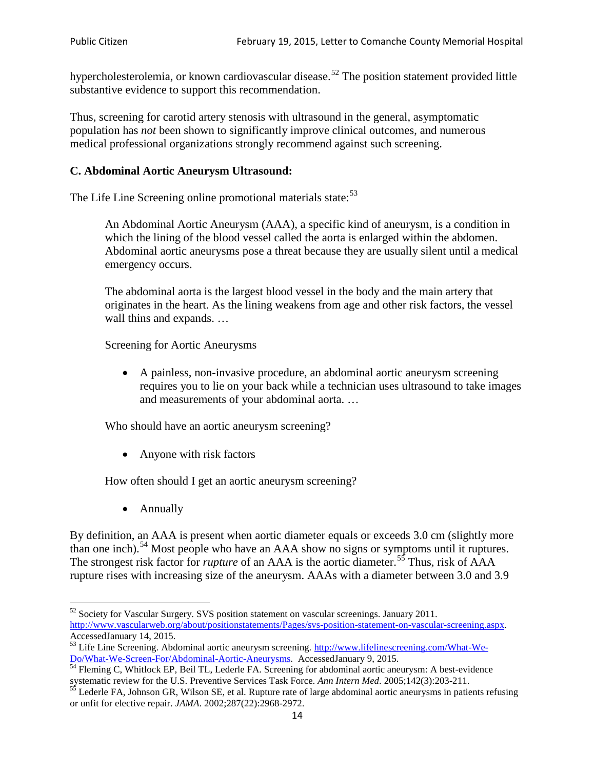hypercholesterolemia, or known cardiovascular disease.<sup>[52](#page-13-0)</sup> The position statement provided little substantive evidence to support this recommendation.

Thus, screening for carotid artery stenosis with ultrasound in the general, asymptomatic population has *not* been shown to significantly improve clinical outcomes, and numerous medical professional organizations strongly recommend against such screening.

## **C. Abdominal Aortic Aneurysm Ultrasound:**

The Life Line Screening online promotional materials state:<sup>[53](#page-13-1)</sup>

An Abdominal Aortic Aneurysm (AAA), a specific kind of aneurysm, is a condition in which the lining of the blood vessel called the aorta is enlarged within the abdomen. Abdominal aortic aneurysms pose a threat because they are usually silent until a medical emergency occurs.

The abdominal aorta is the largest blood vessel in the body and the main artery that originates in the heart. As the lining weakens from age and other risk factors, the vessel wall thins and expands. …

Screening for Aortic Aneurysms

• A painless, non-invasive procedure, an abdominal aortic aneurysm screening requires you to lie on your back while a technician uses ultrasound to take images and measurements of your abdominal aorta. …

Who should have an aortic aneurysm screening?

• Anyone with risk factors

How often should I get an aortic aneurysm screening?

• Annually

By definition, an AAA is present when aortic diameter equals or exceeds 3.0 cm (slightly more than one inch).<sup>[54](#page-13-2)</sup> Most people who have an AAA show no signs or symptoms until it ruptures. The strongest risk factor for *rupture* of an AAA is the aortic diameter.<sup>[55](#page-13-3)</sup> Thus, risk of AAA rupture rises with increasing size of the aneurysm. AAAs with a diameter between 3.0 and 3.9

<span id="page-13-0"></span><sup>&</sup>lt;sup>52</sup> Society for Vascular Surgery. SVS position statement on vascular screenings. January 2011. http://www.vascularweb.org/about/positionstatements/Pages/svs-position-statement-on-vascular-screening.aspx.<br>Accessed January 14, 2015.

<span id="page-13-1"></span>Accessed January 14, 2015.<br>
Sa Life Line Screening. Abdominal aortic aneurysm screening. http://www.lifelinescreening.com/What-We-<br>
Do/What-We-Screen-For/Abdominal-Aortic-Aneurysms. Accessed January 9, 2015.

<span id="page-13-2"></span> $\frac{54}{9}$  Fleming C, Whitlock EP, Beil TL, Lederle FA. Screening for abdominal aortic aneurysm: A best-evidence systematic review for the U.S. Preventive Services Task Force. *Ann Intern Med.* 2005;142(3):203-211.<br><sup>55</sup> Lederle FA, Johnson GR, Wilson SE, et al. Rupture rate of large abdominal aortic aneurysms in patients refusing

<span id="page-13-3"></span>or unfit for elective repair. *JAMA*. 2002;287(22):2968-2972.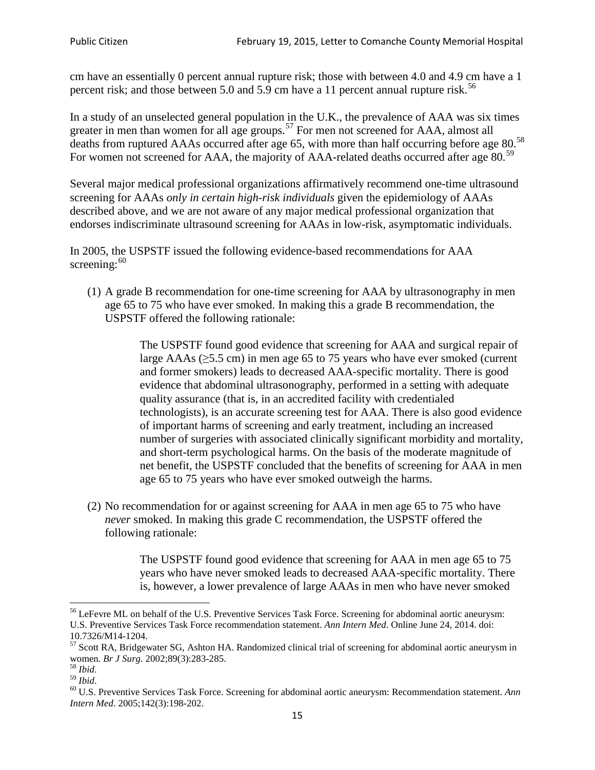cm have an essentially 0 percent annual rupture risk; those with between 4.0 and 4.9 cm have a 1 percent risk; and those between 5.0 and 5.9 cm have a 11 percent annual rupture risk.<sup>[56](#page-14-0)</sup>

In a study of an unselected general population in the U.K., the prevalence of AAA was six times greater in men than women for all age groups.<sup>[57](#page-14-1)</sup> For men not screened for  $AAA$ , almost all deaths from ruptured AAAs occurred after age 65, with more than half occurring before age 80.<sup>[58](#page-14-2)</sup> For women not screened for AAA, the majority of AAA-related deaths occurred after age 80.<sup>[59](#page-14-3)</sup>

Several major medical professional organizations affirmatively recommend one-time ultrasound screening for AAAs *only in certain high-risk individuals* given the epidemiology of AAAs described above, and we are not aware of any major medical professional organization that endorses indiscriminate ultrasound screening for AAAs in low-risk, asymptomatic individuals.

In 2005, the USPSTF issued the following evidence-based recommendations for AAA screening:  $60$ 

(1) A grade B recommendation for one-time screening for AAA by ultrasonography in men age 65 to 75 who have ever smoked. In making this a grade [B recommendation,](http://www.uspreventiveservicestaskforce.org/uspstf/gradespre.htm#brec) the USPSTF offered the following rationale:

> The USPSTF found good evidence that screening for AAA and surgical repair of large AAAs ( $\geq$ 5.5 cm) in men age 65 to 75 years who have ever smoked (current and former smokers) leads to decreased AAA-specific mortality. There is good evidence that abdominal ultrasonography, performed in a setting with adequate quality assurance (that is, in an accredited facility with credentialed technologists), is an accurate screening test for AAA. There is also good evidence of important harms of screening and early treatment, including an increased number of surgeries with associated clinically significant morbidity and mortality, and short-term psychological harms. On the basis of the moderate magnitude of net benefit, the USPSTF concluded that the benefits of screening for AAA in men age 65 to 75 years who have ever smoked outweigh the harms.

(2) No recommendation for or against screening for AAA in men age 65 to 75 who have *never* smoked. In making this grade C recommendation, the USPSTF offered the following rationale:

> The USPSTF found good evidence that screening for AAA in men age 65 to 75 years who have never smoked leads to decreased AAA-specific mortality. There is, however, a lower prevalence of large AAAs in men who have never smoked

<span id="page-14-0"></span><sup>&</sup>lt;sup>56</sup> LeFevre ML on behalf of the U.S. Preventive Services Task Force. Screening for abdominal aortic aneurysm: U.S. Preventive Services Task Force recommendation statement. *Ann Intern Med*. Online June 24, 2014. doi:

<span id="page-14-1"></span><sup>10.7326/</sup>M14-1204.<br> $57$  Scott RA, Bridgewater SG, Ashton HA. Randomized clinical trial of screening for abdominal aortic aneurysm in women. *Br J Surg.* 2002;89(3):283-285.

<span id="page-14-4"></span><span id="page-14-3"></span>

<span id="page-14-2"></span><sup>&</sup>lt;sup>58</sup> *Ibid.*<br><sup>59</sup> *Ibid. Comen. Breeft Bervices Task Force. Screening for abdominal aortic aneurysm: Recommendation statement. <i>Ann* <sup>60</sup> U.S. Preventive Services Task Force. Screening for abdominal aortic aneurysm: Re *Intern Med*. 2005;142(3):198-202.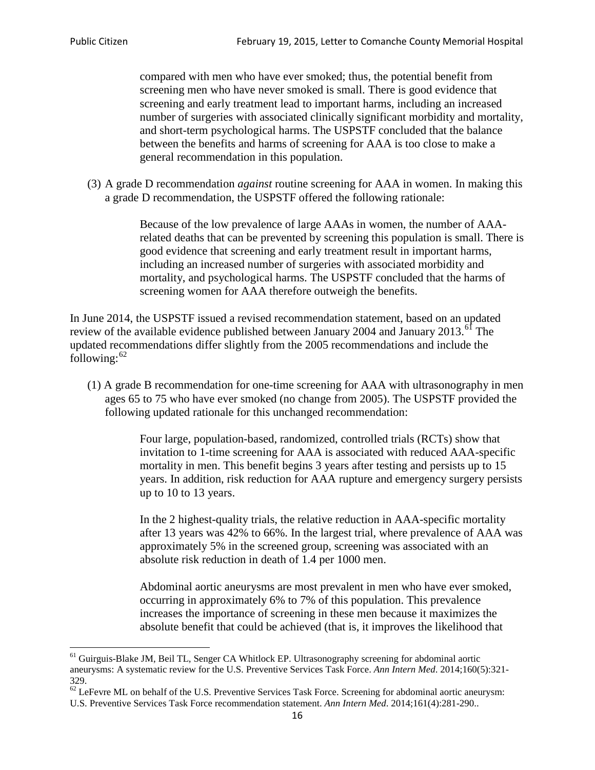compared with men who have ever smoked; thus, the potential benefit from screening men who have never smoked is small. There is good evidence that screening and early treatment lead to important harms, including an increased number of surgeries with associated clinically significant morbidity and mortality, and short-term psychological harms. The USPSTF concluded that the balance between the benefits and harms of screening for AAA is too close to make a general recommendation in this population.

(3) A grade D recommendation *against* routine screening for AAA in women. In making this a grade D recommendation, the USPSTF offered the following rationale:

> Because of the low prevalence of large AAAs in women, the number of AAArelated deaths that can be prevented by screening this population is small. There is good evidence that screening and early treatment result in important harms, including an increased number of surgeries with associated morbidity and mortality, and psychological harms. The USPSTF concluded that the harms of screening women for AAA therefore outweigh the benefits.

In June 2014, the USPSTF issued a revised recommendation statement, based on an updated review of the available evidence published between January 2004 and January 2013.<sup>[61](#page-15-0)</sup> The updated recommendations differ slightly from the 2005 recommendations and include the following: $62$ 

(1) A grade B recommendation for one-time screening for AAA with ultrasonography in men ages 65 to 75 who have ever smoked (no change from 2005). The USPSTF provided the following updated rationale for this unchanged recommendation:

> Four large, population-based, randomized, controlled trials (RCTs) show that invitation to 1-time screening for AAA is associated with reduced AAA-specific mortality in men. This benefit begins 3 years after testing and persists up to 15 years. In addition, risk reduction for AAA rupture and emergency surgery persists up to 10 to 13 years.

> In the 2 highest-quality trials, the relative reduction in AAA-specific mortality after 13 years was 42% to 66%. In the largest trial, where prevalence of AAA was approximately 5% in the screened group, screening was associated with an absolute risk reduction in death of 1.4 per 1000 men.

Abdominal aortic aneurysms are most prevalent in men who have ever smoked, occurring in approximately 6% to 7% of this population. This prevalence increases the importance of screening in these men because it maximizes the absolute benefit that could be achieved (that is, it improves the likelihood that

<span id="page-15-0"></span><sup>61</sup> Guirguis-Blake JM, Beil TL, Senger CA Whitlock EP. Ultrasonography screening for abdominal aortic aneurysms: A systematic review for the U.S. Preventive Services Task Force. *Ann Intern Med*. 2014;160(5):321- 329.

<span id="page-15-1"></span> $62$  LeFevre ML on behalf of the U.S. Preventive Services Task Force. Screening for abdominal aortic aneurysm: U.S. Preventive Services Task Force recommendation statement. *Ann Intern Med*. 2014;161(4):281-290..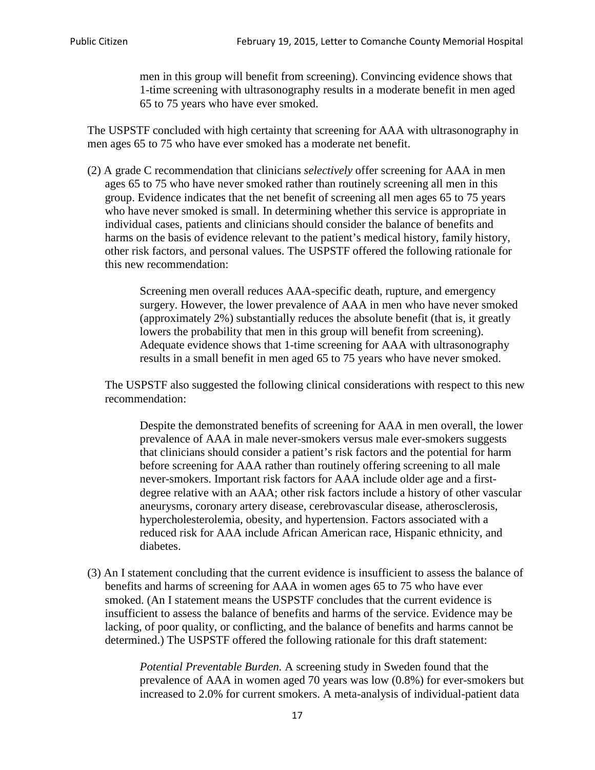men in this group will benefit from screening). Convincing evidence shows that 1-time screening with ultrasonography results in a moderate benefit in men aged 65 to 75 years who have ever smoked.

The USPSTF concluded with high certainty that screening for AAA with ultrasonography in men ages 65 to 75 who have ever smoked has a moderate net benefit.

(2) A grade C recommendation that clinicians *selectively* offer screening for AAA in men ages 65 to 75 who have never smoked rather than routinely screening all men in this group. Evidence indicates that the net benefit of screening all men ages 65 to 75 years who have never smoked is small. In determining whether this service is appropriate in individual cases, patients and clinicians should consider the balance of benefits and harms on the basis of evidence relevant to the patient's medical history, family history, other risk factors, and personal values. The USPSTF offered the following rationale for this new recommendation:

> Screening men overall reduces AAA-specific death, rupture, and emergency surgery. However, the lower prevalence of AAA in men who have never smoked (approximately 2%) substantially reduces the absolute benefit (that is, it greatly lowers the probability that men in this group will benefit from screening). Adequate evidence shows that 1-time screening for AAA with ultrasonography results in a small benefit in men aged 65 to 75 years who have never smoked.

The USPSTF also suggested the following clinical considerations with respect to this new recommendation:

Despite the demonstrated benefits of screening for AAA in men overall, the lower prevalence of AAA in male never-smokers versus male ever-smokers suggests that clinicians should consider a patient's risk factors and the potential for harm before screening for AAA rather than routinely offering screening to all male never-smokers. Important risk factors for AAA include older age and a firstdegree relative with an AAA; other risk factors include a history of other vascular aneurysms, coronary artery disease, cerebrovascular disease, atherosclerosis, hypercholesterolemia, obesity, and hypertension. Factors associated with a reduced risk for AAA include African American race, Hispanic ethnicity, and diabetes.

(3) An I statement concluding that the current evidence is insufficient to assess the balance of benefits and harms of screening for AAA in women ages 65 to 75 who have ever smoked. (An I statement means the USPSTF concludes that the current evidence is insufficient to assess the balance of benefits and harms of the service. Evidence may be lacking, of poor quality, or conflicting, and the balance of benefits and harms cannot be determined.) The USPSTF offered the following rationale for this draft statement:

> *Potential Preventable Burden.* A screening study in Sweden found that the prevalence of AAA in women aged 70 years was low (0.8%) for ever-smokers but increased to 2.0% for current smokers. A meta-analysis of individual-patient data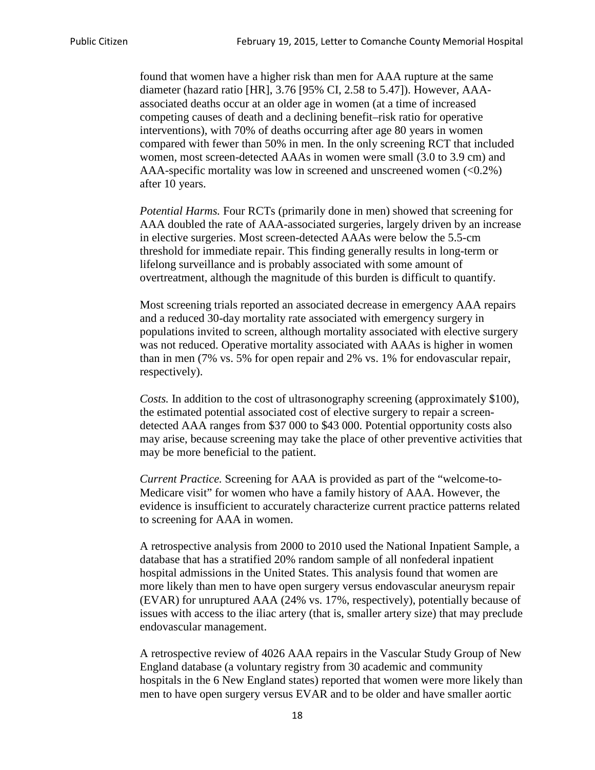found that women have a higher risk than men for AAA rupture at the same diameter (hazard ratio [HR], 3.76 [95% CI, 2.58 to 5.47]). However, AAAassociated deaths occur at an older age in women (at a time of increased competing causes of death and a declining benefit–risk ratio for operative interventions), with 70% of deaths occurring after age 80 years in women compared with fewer than 50% in men. In the only screening RCT that included women, most screen-detected AAAs in women were small (3.0 to 3.9 cm) and AAA-specific mortality was low in screened and unscreened women  $(<0.2\%)$ after 10 years.

*Potential Harms.* Four RCTs (primarily done in men) showed that screening for AAA doubled the rate of AAA-associated surgeries, largely driven by an increase in elective surgeries. Most screen-detected AAAs were below the 5.5-cm threshold for immediate repair. This finding generally results in long-term or lifelong surveillance and is probably associated with some amount of overtreatment, although the magnitude of this burden is difficult to quantify.

Most screening trials reported an associated decrease in emergency AAA repairs and a reduced 30-day mortality rate associated with emergency surgery in populations invited to screen, although mortality associated with elective surgery was not reduced. Operative mortality associated with AAAs is higher in women than in men (7% vs. 5% for open repair and 2% vs. 1% for endovascular repair, respectively).

*Costs.* In addition to the cost of ultrasonography screening (approximately \$100), the estimated potential associated cost of elective surgery to repair a screendetected AAA ranges from \$37 000 to \$43 000. Potential opportunity costs also may arise, because screening may take the place of other preventive activities that may be more beneficial to the patient.

*Current Practice.* Screening for AAA is provided as part of the "welcome-to-Medicare visit" for women who have a family history of AAA. However, the evidence is insufficient to accurately characterize current practice patterns related to screening for AAA in women.

A retrospective analysis from 2000 to 2010 used the National Inpatient Sample, a database that has a stratified 20% random sample of all nonfederal inpatient hospital admissions in the United States. This analysis found that women are more likely than men to have open surgery versus endovascular aneurysm repair (EVAR) for unruptured AAA (24% vs. 17%, respectively), potentially because of issues with access to the iliac artery (that is, smaller artery size) that may preclude endovascular management.

A retrospective review of 4026 AAA repairs in the Vascular Study Group of New England database (a voluntary registry from 30 academic and community hospitals in the 6 New England states) reported that women were more likely than men to have open surgery versus EVAR and to be older and have smaller aortic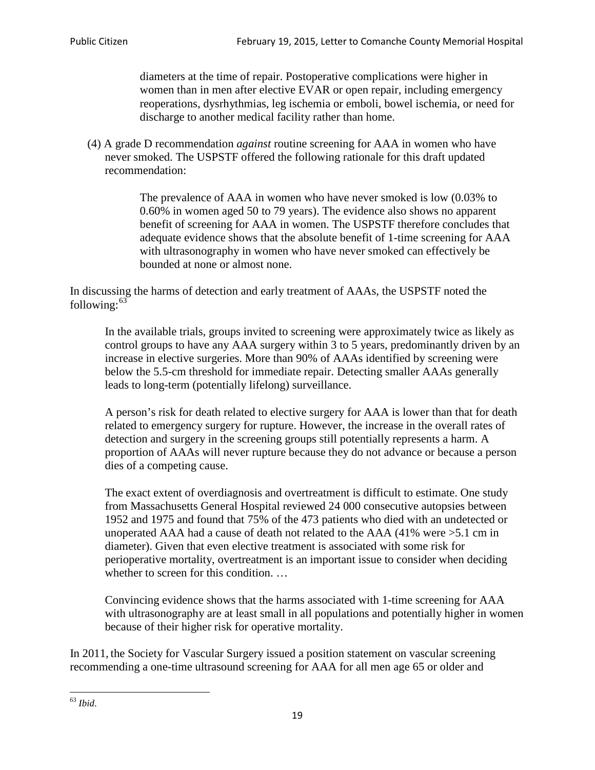diameters at the time of repair. Postoperative complications were higher in women than in men after elective EVAR or open repair, including emergency reoperations, dysrhythmias, leg ischemia or emboli, bowel ischemia, or need for discharge to another medical facility rather than home.

(4) A grade D recommendation *against* routine screening for AAA in women who have never smoked. The USPSTF offered the following rationale for this draft updated recommendation:

> The prevalence of AAA in women who have never smoked is low (0.03% to 0.60% in women aged 50 to 79 years). The evidence also shows no apparent benefit of screening for AAA in women. The USPSTF therefore concludes that adequate evidence shows that the absolute benefit of 1-time screening for AAA with ultrasonography in women who have never smoked can effectively be bounded at none or almost none.

In discussing the harms of detection and early treatment of AAAs, the USPSTF noted the following: $63$ 

In the available trials, groups invited to screening were approximately twice as likely as control groups to have any AAA surgery within 3 to 5 years, predominantly driven by an increase in elective surgeries. More than 90% of AAAs identified by screening were below the 5.5-cm threshold for immediate repair. Detecting smaller AAAs generally leads to long-term (potentially lifelong) surveillance.

A person's risk for death related to elective surgery for AAA is lower than that for death related to emergency surgery for rupture. However, the increase in the overall rates of detection and surgery in the screening groups still potentially represents a harm. A proportion of AAAs will never rupture because they do not advance or because a person dies of a competing cause.

The exact extent of overdiagnosis and overtreatment is difficult to estimate. One study from Massachusetts General Hospital reviewed 24 000 consecutive autopsies between 1952 and 1975 and found that 75% of the 473 patients who died with an undetected or unoperated AAA had a cause of death not related to the AAA (41% were >5.1 cm in diameter). Given that even elective treatment is associated with some risk for perioperative mortality, overtreatment is an important issue to consider when deciding whether to screen for this condition....

Convincing evidence shows that the harms associated with 1-time screening for AAA with ultrasonography are at least small in all populations and potentially higher in women because of their higher risk for operative mortality.

In 2011, the Society for Vascular Surgery issued a position statement on vascular screening recommending a one-time ultrasound screening for AAA for all men age 65 or older and

<span id="page-18-0"></span><sup>63</sup> *Ibid*.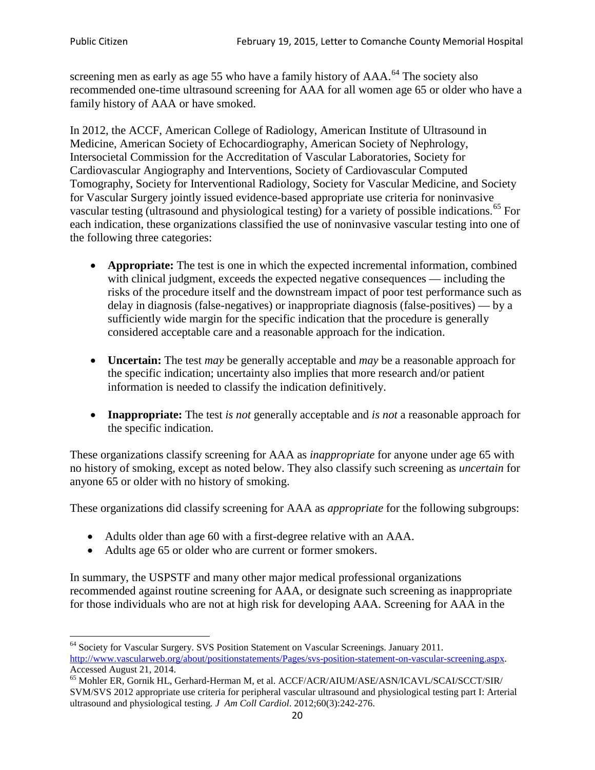screening men as early as age 55 who have a family history of AAA.<sup>[64](#page-19-0)</sup> The society also recommended one-time ultrasound screening for AAA for all women age 65 or older who have a family history of AAA or have smoked.

In 2012, the ACCF, American College of Radiology, American Institute of Ultrasound in Medicine, American Society of Echocardiography, American Society of Nephrology, Intersocietal Commission for the Accreditation of Vascular Laboratories, Society for Cardiovascular Angiography and Interventions, Society of Cardiovascular Computed Tomography, Society for Interventional Radiology, Society for Vascular Medicine, and Society for Vascular Surgery jointly issued evidence-based appropriate use criteria for noninvasive vascular testing (ultrasound and physiological testing) for a variety of possible indications.<sup>[65](#page-19-1)</sup> For each indication, these organizations classified the use of noninvasive vascular testing into one of the following three categories:

- **Appropriate:** The test is one in which the expected incremental information, combined with clinical judgment, exceeds the expected negative consequences — including the risks of the procedure itself and the downstream impact of poor test performance such as delay in diagnosis (false-negatives) or inappropriate diagnosis (false-positives) — by a sufficiently wide margin for the specific indication that the procedure is generally considered acceptable care and a reasonable approach for the indication.
- **Uncertain:** The test *may* be generally acceptable and *may* be a reasonable approach for the specific indication; uncertainty also implies that more research and/or patient information is needed to classify the indication definitively.
- **Inappropriate:** The test *is not* generally acceptable and *is not* a reasonable approach for the specific indication.

These organizations classify screening for AAA as *inappropriate* for anyone under age 65 with no history of smoking, except as noted below. They also classify such screening as *uncertain* for anyone 65 or older with no history of smoking.

These organizations did classify screening for AAA as *appropriate* for the following subgroups:

- Adults older than age 60 with a first-degree relative with an AAA.
- Adults age 65 or older who are current or former smokers.

In summary, the USPSTF and many other major medical professional organizations recommended against routine screening for AAA, or designate such screening as inappropriate for those individuals who are not at high risk for developing AAA. Screening for AAA in the

<span id="page-19-0"></span><sup>64</sup> Society for Vascular Surgery. SVS Position Statement on Vascular Screenings. January 2011. [http://www.vascularweb.org/about/positionstatements/Pages/svs-position-statement-on-vascular-screening.aspx.](http://www.vascularweb.org/about/positionstatements/Pages/svs-position-statement-on-vascular-screening.aspx) 

<span id="page-19-1"></span>Accessed August 21, 2014.<br><sup>65</sup> Mohler ER, Gornik HL, Gerhard-Herman M, et al. ACCF/ACR/AIUM/ASE/ASN/ICAVL/SCAI/SCCT/SIR/ SVM/SVS 2012 appropriate use criteria for peripheral vascular ultrasound and physiological testing part I: Arterial ultrasound and physiological testing*. J Am Coll Cardiol*. 2012;60(3):242-276.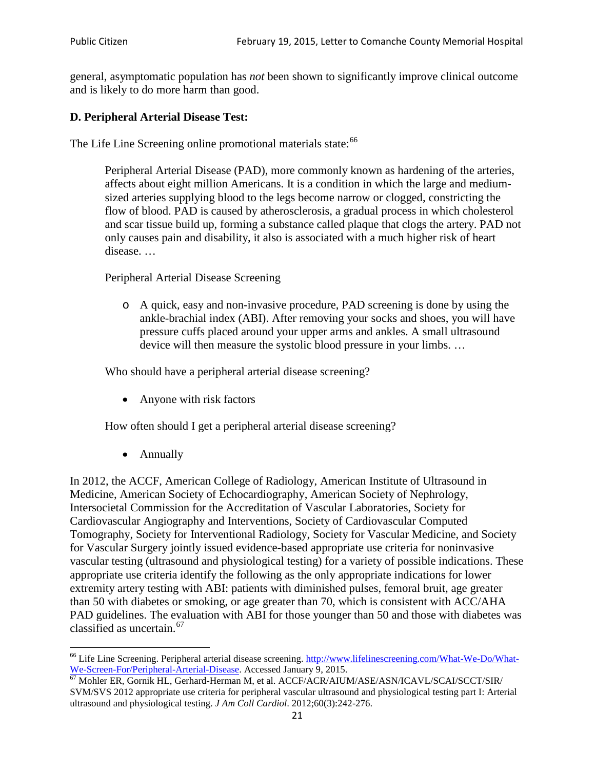general, asymptomatic population has *not* been shown to significantly improve clinical outcome and is likely to do more harm than good.

## **D. Peripheral Arterial Disease Test:**

The Life Line Screening online promotional materials state:<sup>[66](#page-20-0)</sup>

Peripheral Arterial Disease (PAD), more commonly known as hardening of the arteries, affects about eight million Americans. It is a condition in which the large and mediumsized arteries supplying blood to the legs become narrow or clogged, constricting the flow of blood. PAD is caused by atherosclerosis, a gradual process in which cholesterol and scar tissue build up, forming a substance called plaque that clogs the artery. PAD not only causes pain and disability, it also is associated with a much higher risk of heart disease. …

Peripheral Arterial Disease Screening

o A quick, easy and non-invasive procedure, PAD screening is done by using the ankle-brachial index (ABI). After removing your socks and shoes, you will have pressure cuffs placed around your upper arms and ankles. A small ultrasound device will then measure the systolic blood pressure in your limbs. …

Who should have a peripheral arterial disease screening?

• Anyone with risk factors

How often should I get a peripheral arterial disease screening?

• Annually

In 2012, the ACCF, American College of Radiology, American Institute of Ultrasound in Medicine, American Society of Echocardiography, American Society of Nephrology, Intersocietal Commission for the Accreditation of Vascular Laboratories, Society for Cardiovascular Angiography and Interventions, Society of Cardiovascular Computed Tomography, Society for Interventional Radiology, Society for Vascular Medicine, and Society for Vascular Surgery jointly issued evidence-based appropriate use criteria for noninvasive vascular testing (ultrasound and physiological testing) for a variety of possible indications. These appropriate use criteria identify the following as the only appropriate indications for lower extremity artery testing with ABI: patients with diminished pulses, femoral bruit, age greater than 50 with diabetes or smoking, or age greater than 70, which is consistent with ACC/AHA PAD guidelines. The evaluation with ABI for those younger than 50 and those with diabetes was classified as uncertain.<sup>[67](#page-20-1)</sup>

<span id="page-20-0"></span><sup>&</sup>lt;sup>66</sup> Life Line Screening. Peripheral arterial disease screening. [http://www.lifelinescreening.com/What-We-Do/What-](http://www.lifelinescreening.com/What-We-Do/What-We-Screen-For/Peripheral-Arterial-Disease)

<span id="page-20-1"></span>[We-Screen-For/Peripheral-Arterial-Disease.](http://www.lifelinescreening.com/What-We-Do/What-We-Screen-For/Peripheral-Arterial-Disease) Accessed January 9, 2015.<br><sup>67</sup> Mohler ER, Gornik HL, Gerhard-Herman M, et al. ACCF/ACR/AIUM/ASE/ASN/ICAVL/SCAI/SCCT/SIR/ SVM/SVS 2012 appropriate use criteria for peripheral vascular ultrasound and physiological testing part I: Arterial ultrasound and physiological testing. *J Am Coll Cardiol*. 2012;60(3):242-276.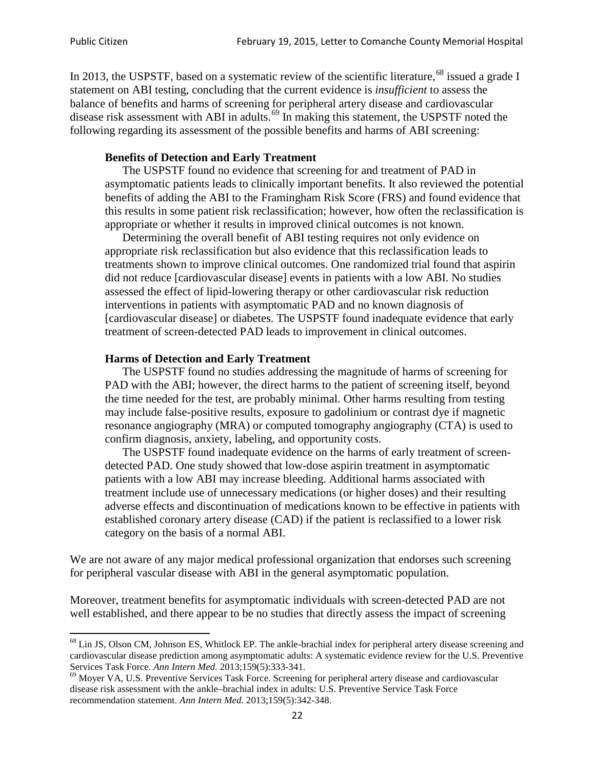In 2013, the USPSTF, based on a systematic review of the scientific literature,<sup>[68](#page-21-0)</sup> issued a grade I statement on ABI testing, concluding that the current evidence is *insufficient* to assess the balance of benefits and harms of screening for peripheral artery disease and cardiovascular disease risk assessment with ABI in adults.<sup>[69](#page-21-1)</sup> In making this statement, the USPSTF noted the following regarding its assessment of the possible benefits and harms of ABI screening:

#### **Benefits of Detection and Early Treatment**

The USPSTF found no evidence that screening for and treatment of PAD in asymptomatic patients leads to clinically important benefits. It also reviewed the potential benefits of adding the ABI to the Framingham Risk Score (FRS) and found evidence that this results in some patient risk reclassification; however, how often the reclassification is appropriate or whether it results in improved clinical outcomes is not known.

Determining the overall benefit of ABI testing requires not only evidence on appropriate risk reclassification but also evidence that this reclassification leads to treatments shown to improve clinical outcomes. One randomized trial found that aspirin did not reduce [cardiovascular disease] events in patients with a low ABI. No studies assessed the effect of lipid-lowering therapy or other cardiovascular risk reduction interventions in patients with asymptomatic PAD and no known diagnosis of [cardiovascular disease] or diabetes. The USPSTF found inadequate evidence that early treatment of screen-detected PAD leads to improvement in clinical outcomes.

#### **Harms of Detection and Early Treatment**

The USPSTF found no studies addressing the magnitude of harms of screening for PAD with the ABI; however, the direct harms to the patient of screening itself, beyond the time needed for the test, are probably minimal. Other harms resulting from testing may include false-positive results, exposure to gadolinium or contrast dye if magnetic resonance angiography (MRA) or computed tomography angiography (CTA) is used to confirm diagnosis, anxiety, labeling, and opportunity costs.

The USPSTF found inadequate evidence on the harms of early treatment of screendetected PAD. One study showed that low-dose aspirin treatment in asymptomatic patients with a low ABI may increase bleeding. Additional harms associated with treatment include use of unnecessary medications (or higher doses) and their resulting adverse effects and discontinuation of medications known to be effective in patients with established coronary artery disease (CAD) if the patient is reclassified to a lower risk category on the basis of a normal ABI.

We are not aware of any major medical professional organization that endorses such screening for peripheral vascular disease with ABI in the general asymptomatic population.

Moreover, treatment benefits for asymptomatic individuals with screen-detected PAD are not well established, and there appear to be no studies that directly assess the impact of screening

<span id="page-21-0"></span><sup>&</sup>lt;sup>68</sup> Lin JS, Olson CM, Johnson ES, Whitlock EP. The ankle-brachial index for peripheral artery disease screening and cardiovascular disease prediction among asymptomatic adults: A systematic evidence review for the U.S. Preventive Services Task Force. *Ann Intern Med.* 2013;159(5):333-341.<br><sup>69</sup> Moyer VA, U.S. Preventive Services Task Force. Screening for peripheral artery disease and cardiovascular

<span id="page-21-1"></span>disease risk assessment with the ankle–brachial index in adults: U.S. Preventive Service Task Force recommendation statement. *Ann Intern Med.* 2013;159(5):342-348.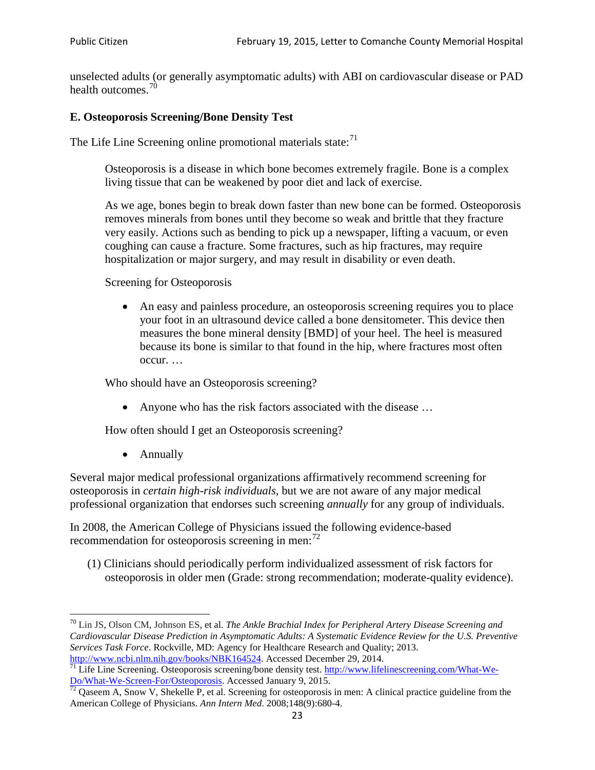unselected adults (or generally asymptomatic adults) with ABI on cardiovascular disease or PAD health outcomes.<sup>[70](#page-22-0)</sup>

## **E. Osteoporosis Screening/Bone Density Test**

The Life Line Screening online promotional materials state: $71$ 

Osteoporosis is a disease in which bone becomes extremely fragile. Bone is a complex living tissue that can be weakened by poor diet and lack of exercise.

As we age, bones begin to break down faster than new bone can be formed. Osteoporosis removes minerals from bones until they become so weak and brittle that they fracture very easily. Actions such as bending to pick up a newspaper, lifting a vacuum, or even coughing can cause a fracture. Some fractures, such as hip fractures, may require hospitalization or major surgery, and may result in disability or even death.

Screening for Osteoporosis

• An easy and painless procedure, an osteoporosis screening requires you to place your foot in an ultrasound device called a bone densitometer. This device then measures the bone mineral density [BMD] of your heel. The heel is measured because its bone is similar to that found in the hip, where fractures most often occur. …

Who should have an Osteoporosis screening?

• Anyone who has the risk factors associated with the disease ...

How often should I get an Osteoporosis screening?

• Annually

Several major medical professional organizations affirmatively recommend screening for osteoporosis in *certain high-risk individuals*, but we are not aware of any major medical professional organization that endorses such screening *annually* for any group of individuals.

In 2008, the American College of Physicians issued the following evidence-based recommendation for osteoporosis screening in men: $^{72}$  $^{72}$  $^{72}$ 

(1) Clinicians should periodically perform individualized assessment of risk factors for osteoporosis in older men (Grade: strong recommendation; moderate-quality evidence).

<span id="page-22-0"></span><sup>70</sup> [Lin JS,](http://www.ncbi.nlm.nih.gov/pubmed?term=Lin%20JS%5BAuthor%5D&cauthor=true&cauthor_uid=24156115) [Olson CM,](http://www.ncbi.nlm.nih.gov/pubmed?term=Olson%20CM%5BAuthor%5D&cauthor=true&cauthor_uid=24156115) [Johnson ES,](http://www.ncbi.nlm.nih.gov/pubmed?term=Johnson%20ES%5BAuthor%5D&cauthor=true&cauthor_uid=24156115) et al. *The Ankle Brachial Index for Peripheral Artery Disease Screening and Cardiovascular Disease Prediction in Asymptomatic Adults: A Systematic Evidence Review for the U.S. Preventive Services Task Force*. Rockville, MD: Agency for Healthcare Research and Quality; 2013.<br>http://www.ncbi.nlm.nih.gov/books/NBK164524. Accessed December 29, 2014.

<span id="page-22-1"></span> $\frac{1}{71}$  Life Line Screening. Osteoporosis screening/bone density test. [http://www.lifelinescreening.com/What-We-](http://www.lifelinescreening.com/What-We-Do/What-We-Screen-For/Osteoporosis)[Do/What-We-Screen-For/Osteoporosis.](http://www.lifelinescreening.com/What-We-Do/What-We-Screen-For/Osteoporosis) Accessed January 9, 2015. <sup>72</sup> Qaseem A, Snow V, Shekelle P, et al. Screening for osteoporosis in men: A clinical practice guideline from the

<span id="page-22-2"></span>American College of Physicians. *Ann Intern Med*. 2008;148(9):680-4.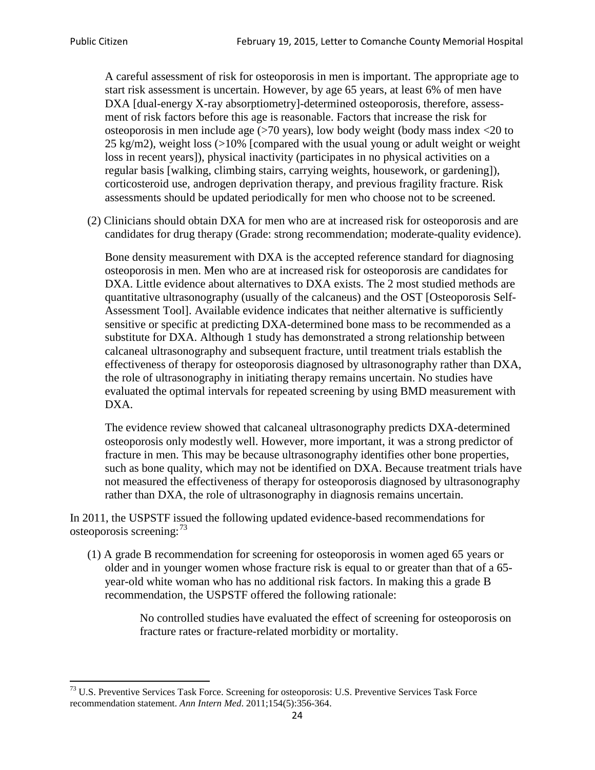A careful assessment of risk for osteoporosis in men is important. The appropriate age to start risk assessment is uncertain. However, by age 65 years, at least 6% of men have DXA [dual-energy X-ray absorptiometry]-determined osteoporosis, therefore, assessment of risk factors before this age is reasonable. Factors that increase the risk for osteoporosis in men include age (>70 years), low body weight (body mass index <20 to 25 kg/m2), weight loss (>10% [compared with the usual young or adult weight or weight loss in recent years]), physical inactivity (participates in no physical activities on a regular basis [walking, climbing stairs, carrying weights, housework, or gardening]), corticosteroid use, androgen deprivation therapy, and previous fragility fracture. Risk assessments should be updated periodically for men who choose not to be screened.

(2) Clinicians should obtain DXA for men who are at increased risk for osteoporosis and are candidates for drug therapy (Grade: strong recommendation; moderate-quality evidence).

Bone density measurement with DXA is the accepted reference standard for diagnosing osteoporosis in men. Men who are at increased risk for osteoporosis are candidates for DXA. Little evidence about alternatives to DXA exists. The 2 most studied methods are quantitative ultrasonography (usually of the calcaneus) and the OST [Osteoporosis Self-Assessment Tool]. Available evidence indicates that neither alternative is sufficiently sensitive or specific at predicting DXA-determined bone mass to be recommended as a substitute for DXA. Although 1 study has demonstrated a strong relationship between calcaneal ultrasonography and subsequent fracture, until treatment trials establish the effectiveness of therapy for osteoporosis diagnosed by ultrasonography rather than DXA, the role of ultrasonography in initiating therapy remains uncertain. No studies have evaluated the optimal intervals for repeated screening by using BMD measurement with DXA.

The evidence review showed that calcaneal ultrasonography predicts DXA-determined osteoporosis only modestly well. However, more important, it was a strong predictor of fracture in men. This may be because ultrasonography identifies other bone properties, such as bone quality, which may not be identified on DXA. Because treatment trials have not measured the effectiveness of therapy for osteoporosis diagnosed by ultrasonography rather than DXA, the role of ultrasonography in diagnosis remains uncertain.

In 2011, the USPSTF issued the following updated evidence-based recommendations for osteoporosis screening:<sup>[73](#page-23-0)</sup>

(1) A grade B recommendation for screening for osteoporosis in women aged 65 years or older and in younger women whose fracture risk is equal to or greater than that of a 65 year-old white woman who has no additional risk factors. In making this a grade B recommendation, the USPSTF offered the following rationale:

> No controlled studies have evaluated the effect of screening for osteoporosis on fracture rates or fracture-related morbidity or mortality.

<span id="page-23-0"></span><sup>&</sup>lt;sup>73</sup> U.S. Preventive Services Task Force. Screening for osteoporosis: U.S. Preventive Services Task Force recommendation statement. *Ann Intern Med*. 2011;154(5):356-364.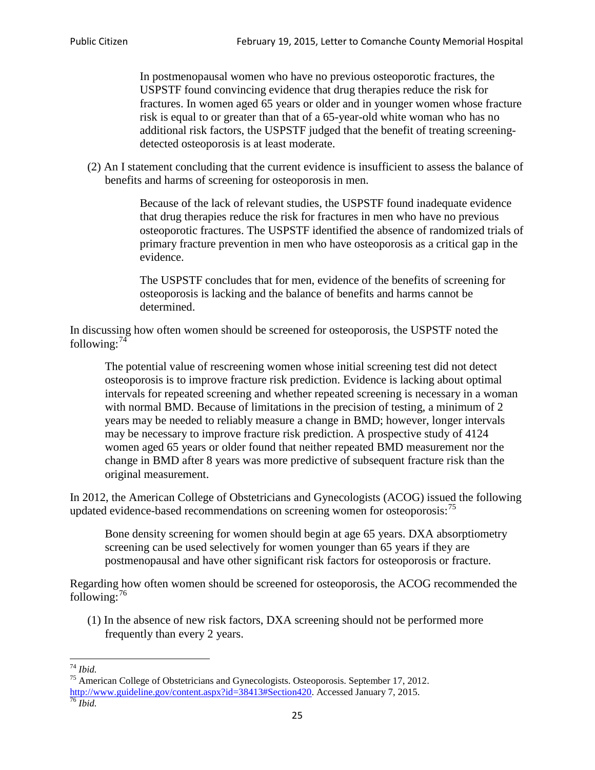In postmenopausal women who have no previous osteoporotic fractures, the USPSTF found convincing evidence that drug therapies reduce the risk for fractures. In women aged 65 years or older and in younger women whose fracture risk is equal to or greater than that of a 65-year-old white woman who has no additional risk factors, the USPSTF judged that the benefit of treating screeningdetected osteoporosis is at least moderate.

(2) An I statement concluding that the current evidence is insufficient to assess the balance of benefits and harms of screening for osteoporosis in men.

> Because of the lack of relevant studies, the USPSTF found inadequate evidence that drug therapies reduce the risk for fractures in men who have no previous osteoporotic fractures. The USPSTF identified the absence of randomized trials of primary fracture prevention in men who have osteoporosis as a critical gap in the evidence.

The USPSTF concludes that for men, evidence of the benefits of screening for osteoporosis is lacking and the balance of benefits and harms cannot be determined.

In discussing how often women should be screened for osteoporosis, the USPSTF noted the following: $74$ 

The potential value of rescreening women whose initial screening test did not detect osteoporosis is to improve fracture risk prediction. Evidence is lacking about optimal intervals for repeated screening and whether repeated screening is necessary in a woman with normal BMD. Because of limitations in the precision of testing, a minimum of 2 years may be needed to reliably measure a change in BMD; however, longer intervals may be necessary to improve fracture risk prediction. A prospective study of 4124 women aged 65 years or older found that neither repeated BMD measurement nor the change in BMD after 8 years was more predictive of subsequent fracture risk than the original measurement.

In 2012, the American College of Obstetricians and Gynecologists (ACOG) issued the following updated evidence-based recommendations on screening women for osteoporosis:<sup>[75](#page-24-1)</sup>

Bone density screening for women should begin at age 65 years. DXA absorptiometry screening can be used selectively for women younger than 65 years if they are postmenopausal and have other significant risk factors for osteoporosis or fracture.

Regarding how often women should be screened for osteoporosis, the ACOG recommended the following: $^{76}$  $^{76}$  $^{76}$ 

(1) In the absence of new risk factors, DXA screening should not be performed more frequently than every 2 years.

<span id="page-24-2"></span><span id="page-24-1"></span><span id="page-24-0"></span><sup>74</sup> *Ibid.* <sup>75</sup> American College of Obstetricians and Gynecologists. Osteoporosis. September 17, 2012. [http://www.guideline.gov/content.aspx?id=38413#Section420.](http://www.guideline.gov/content.aspx?id=38413#Section420) Accessed January 7, 2015.<br><sup>76</sup> *Ibid.*